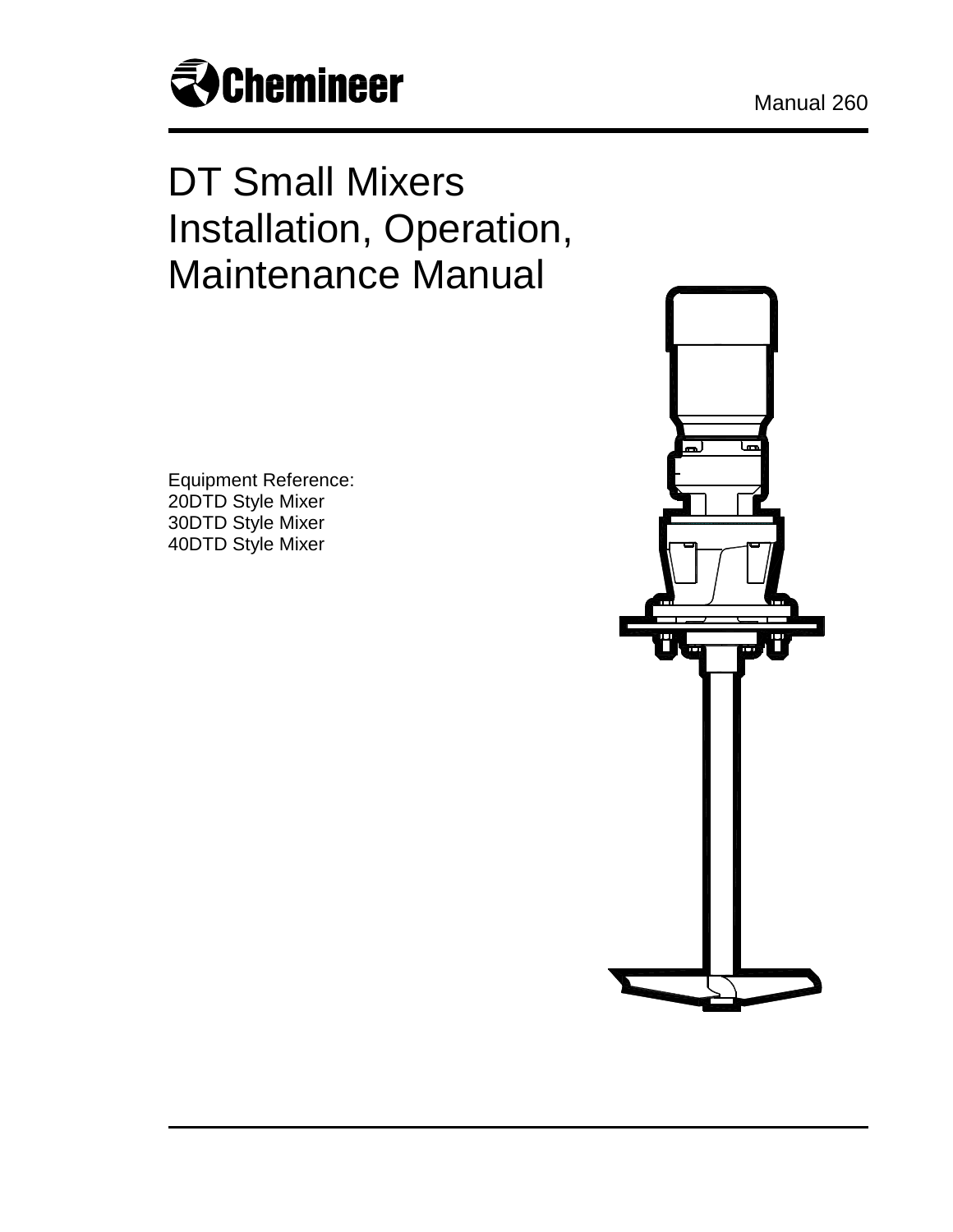

# DT Small Mixers Installation, Operation, Maintenance Manual

Equipment Reference: 20DTD Style Mixer 30DTD Style Mixer 40DTD Style Mixer

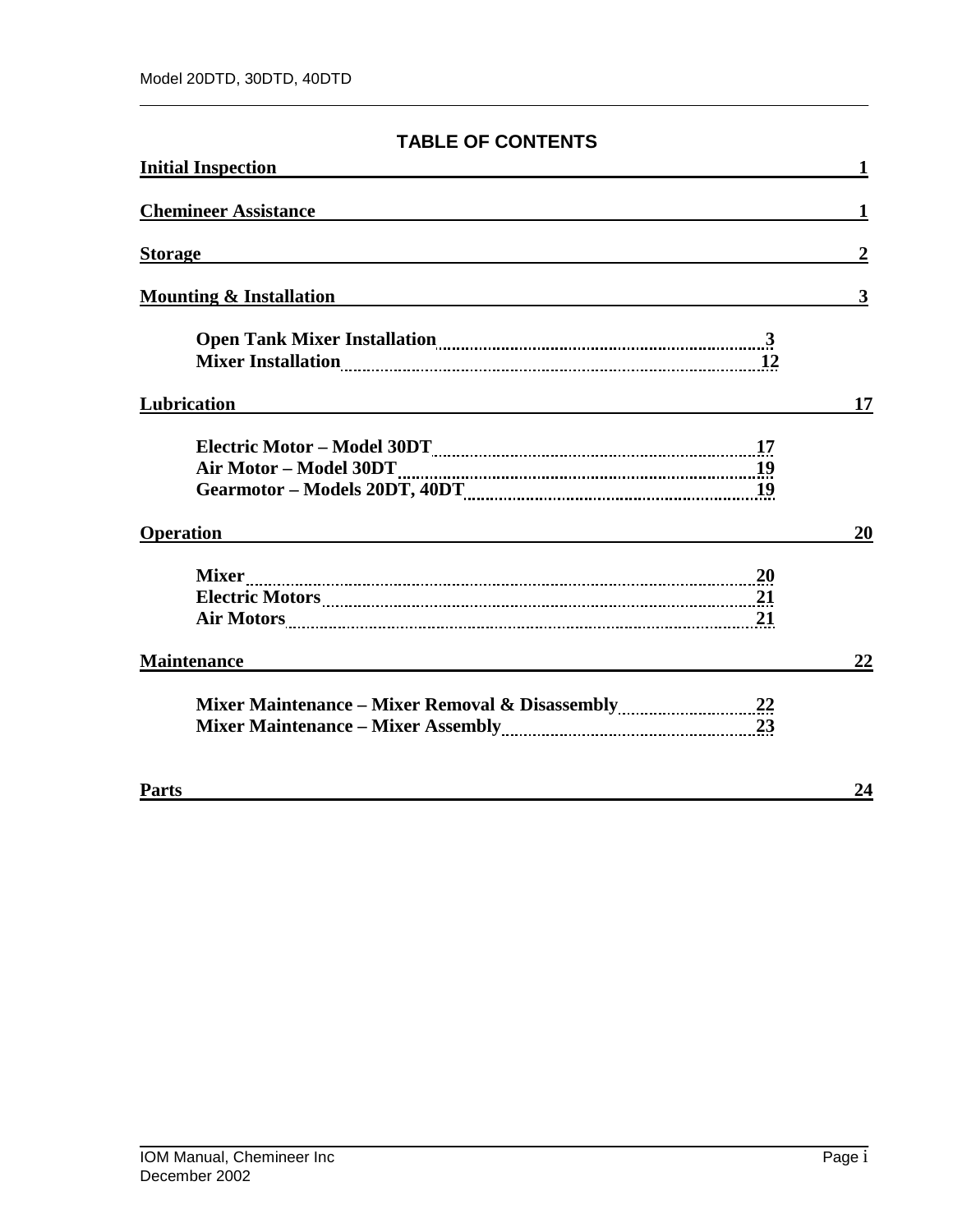## **TABLE OF CONTENTS**

| <b>Initial Inspection</b>                                                     |                         |
|-------------------------------------------------------------------------------|-------------------------|
| <b>Chemineer Assistance</b>                                                   |                         |
| <b>Storage</b>                                                                | $\boldsymbol{2}$        |
| <b>Mounting &amp; Installation</b>                                            | $\overline{\mathbf{3}}$ |
|                                                                               |                         |
| Lubrication                                                                   | 17                      |
|                                                                               |                         |
| <b>Operation</b><br><u> 1989 - John Stein, Amerikaansk politiker (* 1908)</u> | 20                      |
| Air Motors 21                                                                 |                         |
| <b>Maintenance</b>                                                            | 22                      |
|                                                                               |                         |
| <b>Parts</b>                                                                  | 24                      |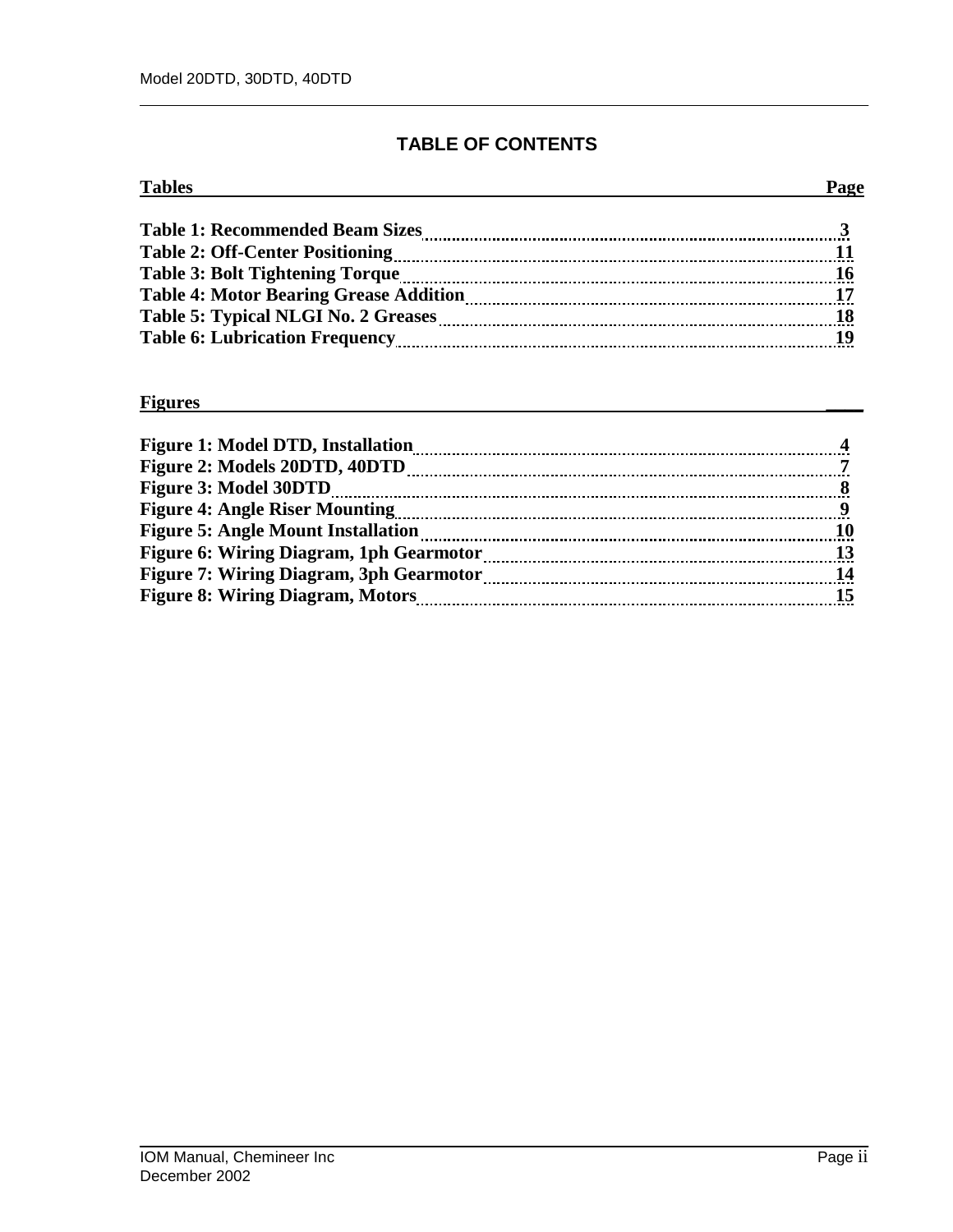## **TABLE OF CONTENTS**

| <b>Tables</b>                                 | Page |
|-----------------------------------------------|------|
| <b>Table 1: Recommended Beam Sizes</b>        |      |
|                                               |      |
|                                               |      |
| <b>Table 4: Motor Bearing Grease Addition</b> |      |
|                                               |      |
|                                               |      |

#### **Figures \_\_\_\_**

| <b>Figure 1: Model DTD, Installation</b>       |    |
|------------------------------------------------|----|
| Figure 2: Models 20DTD, 40DTD                  |    |
| <b>Figure 3: Model 30DTD</b>                   |    |
| <b>Figure 4: Angle Riser Mounting</b>          |    |
| <b>Figure 5: Angle Mount Installation</b>      | 10 |
| <b>Figure 6: Wiring Diagram, 1ph Gearmotor</b> |    |
| <b>Figure 7: Wiring Diagram, 3ph Gearmotor</b> | 14 |
| <b>Figure 8: Wiring Diagram, Motors</b>        |    |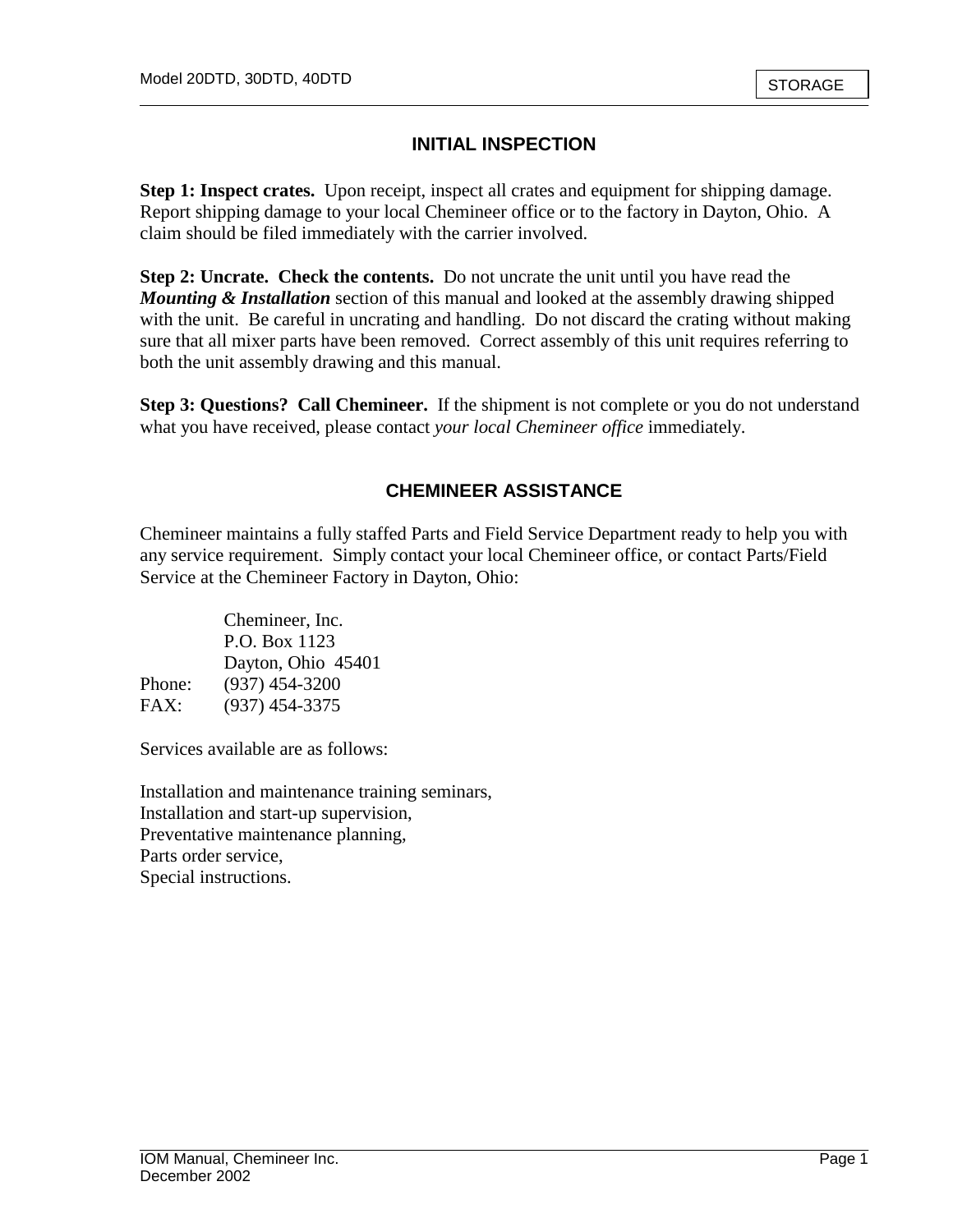## **INITIAL INSPECTION**

**Step 1: Inspect crates.** Upon receipt, inspect all crates and equipment for shipping damage. Report shipping damage to your local Chemineer office or to the factory in Dayton, Ohio. A claim should be filed immediately with the carrier involved.

**Step 2: Uncrate. Check the contents.** Do not uncrate the unit until you have read the *Mounting & Installation* section of this manual and looked at the assembly drawing shipped with the unit. Be careful in uncrating and handling. Do not discard the crating without making sure that all mixer parts have been removed. Correct assembly of this unit requires referring to both the unit assembly drawing and this manual.

**Step 3: Questions? Call Chemineer.** If the shipment is not complete or you do not understand what you have received, please contact *your local Chemineer office* immediately.

## **CHEMINEER ASSISTANCE**

Chemineer maintains a fully staffed Parts and Field Service Department ready to help you with any service requirement. Simply contact your local Chemineer office, or contact Parts/Field Service at the Chemineer Factory in Dayton, Ohio:

|        | Chemineer, Inc.    |
|--------|--------------------|
|        | P.O. Box 1123      |
|        | Dayton, Ohio 45401 |
| Phone: | $(937)$ 454-3200   |
| FAX:   | $(937)$ 454-3375   |

Services available are as follows:

Installation and maintenance training seminars, Installation and start-up supervision, Preventative maintenance planning, Parts order service, Special instructions.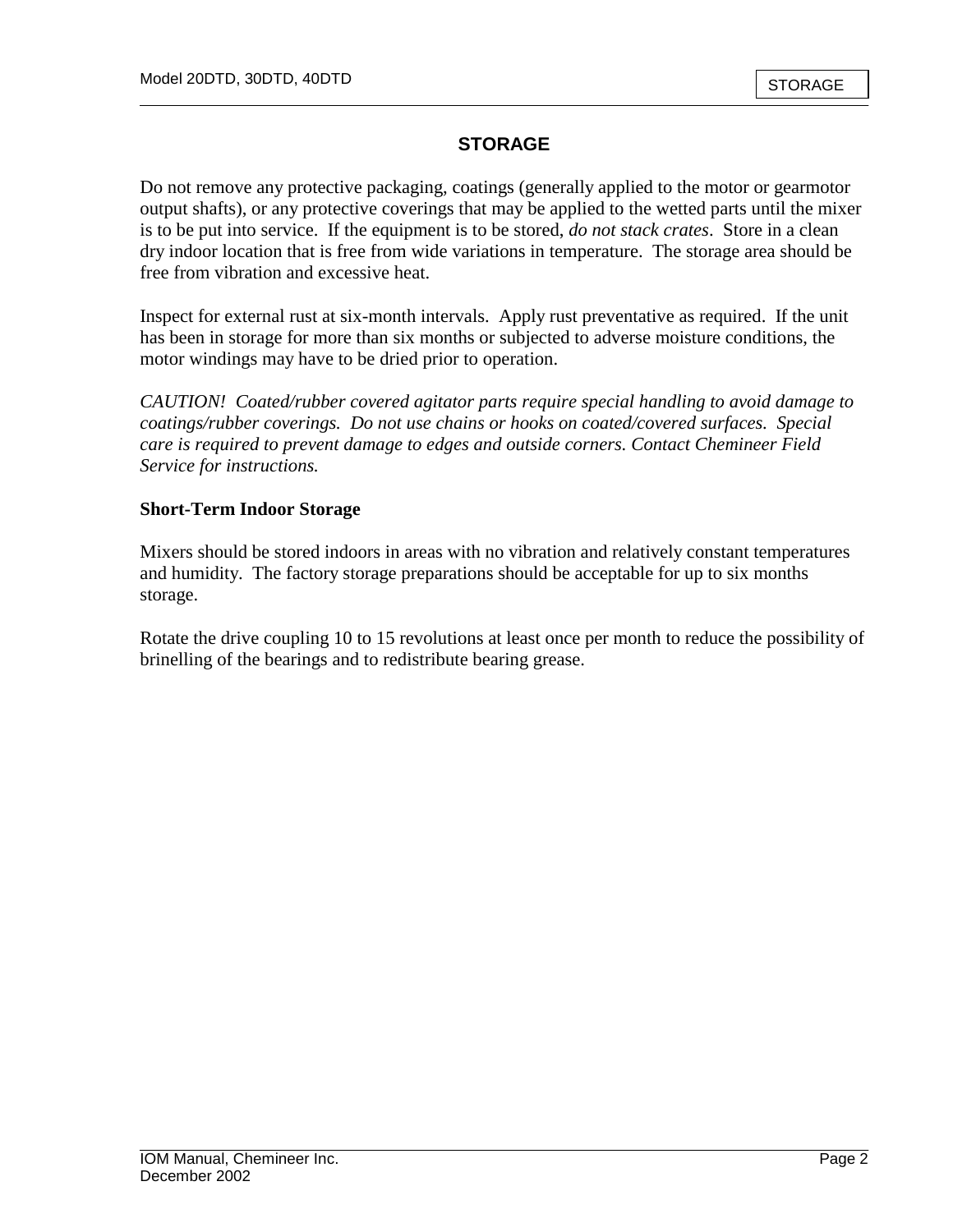## **STORAGE**

Do not remove any protective packaging, coatings (generally applied to the motor or gearmotor output shafts), or any protective coverings that may be applied to the wetted parts until the mixer is to be put into service. If the equipment is to be stored, *do not stack crates*. Store in a clean dry indoor location that is free from wide variations in temperature. The storage area should be free from vibration and excessive heat.

Inspect for external rust at six-month intervals. Apply rust preventative as required. If the unit has been in storage for more than six months or subjected to adverse moisture conditions, the motor windings may have to be dried prior to operation.

*CAUTION! Coated/rubber covered agitator parts require special handling to avoid damage to coatings/rubber coverings. Do not use chains or hooks on coated/covered surfaces. Special care is required to prevent damage to edges and outside corners. Contact Chemineer Field Service for instructions.* 

#### **Short-Term Indoor Storage**

Mixers should be stored indoors in areas with no vibration and relatively constant temperatures and humidity. The factory storage preparations should be acceptable for up to six months storage.

Rotate the drive coupling 10 to 15 revolutions at least once per month to reduce the possibility of brinelling of the bearings and to redistribute bearing grease.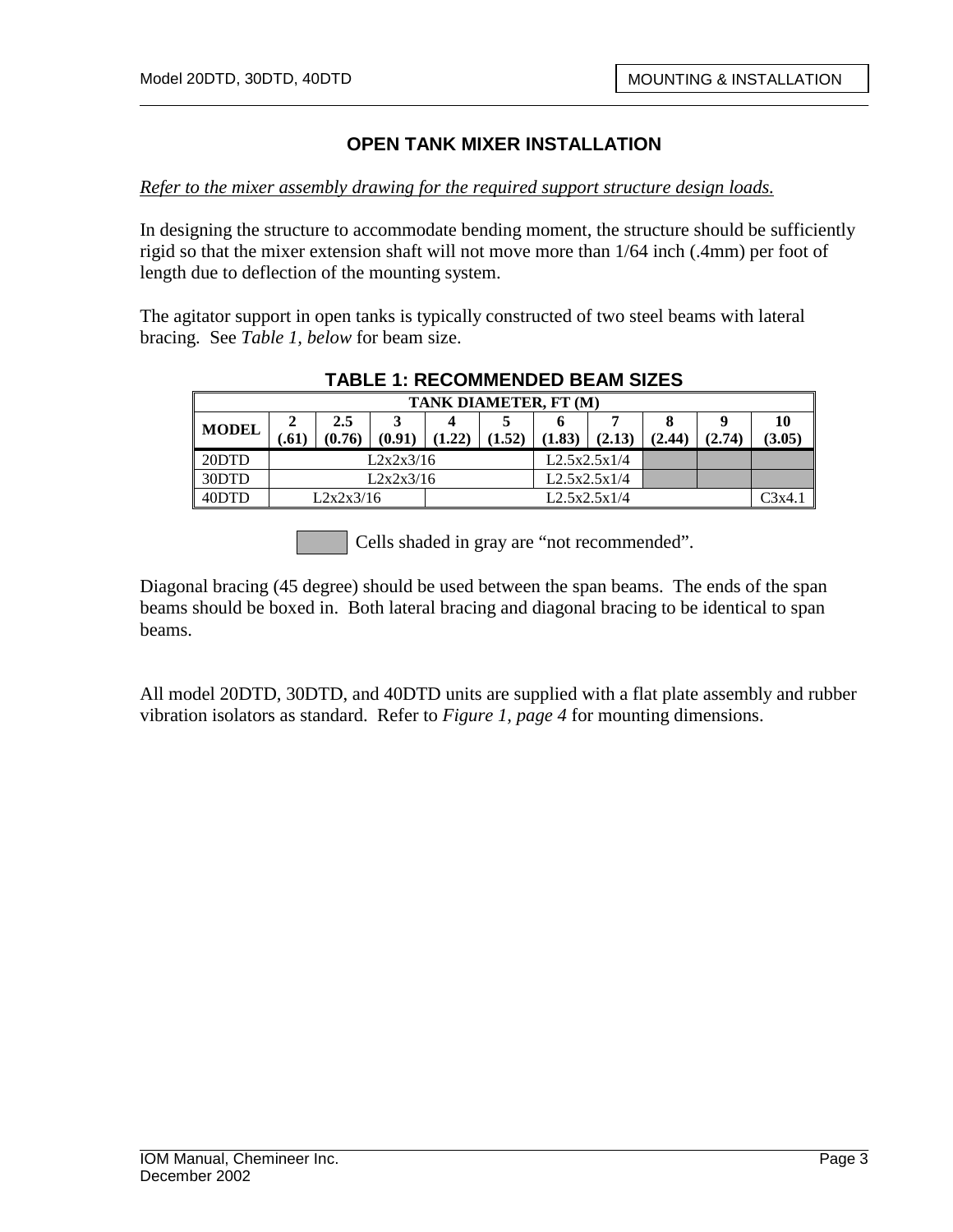*Refer to the mixer assembly drawing for the required support structure design loads.*

In designing the structure to accommodate bending moment, the structure should be sufficiently rigid so that the mixer extension shaft will not move more than 1/64 inch (.4mm) per foot of length due to deflection of the mounting system.

The agitator support in open tanks is typically constructed of two steel beams with lateral bracing. See *Table 1, below* for beam size.

| TANK DIAMETER, FT (M) |                           |        |        |              |        |        |        |      |        |        |
|-----------------------|---------------------------|--------|--------|--------------|--------|--------|--------|------|--------|--------|
| <b>MODEL</b>          |                           | 2.5    |        |              |        |        |        |      | 9      |        |
|                       | 61.)                      | (0.76) | (0.91) | (1.22)       | (1.52) | (1.83) | (2.13) | 2.44 | (2.74) | (3.05) |
| 20DTD                 | L2x2x3/16                 |        |        | L2.5x2.5x1/4 |        |        |        |      |        |        |
| 30DTD                 | L2x2x3/16                 |        |        | L2.5x2.5x1/4 |        |        |        |      |        |        |
| 40DTD                 | L2x2x3/16<br>L2.5x2.5x1/4 |        |        | C3x4.        |        |        |        |      |        |        |

#### **TABLE 1: RECOMMENDED BEAM SIZES**

Cells shaded in gray are "not recommended".

Diagonal bracing (45 degree) should be used between the span beams. The ends of the span beams should be boxed in. Both lateral bracing and diagonal bracing to be identical to span beams.

All model 20DTD, 30DTD, and 40DTD units are supplied with a flat plate assembly and rubber vibration isolators as standard. Refer to *Figure 1, page 4* for mounting dimensions.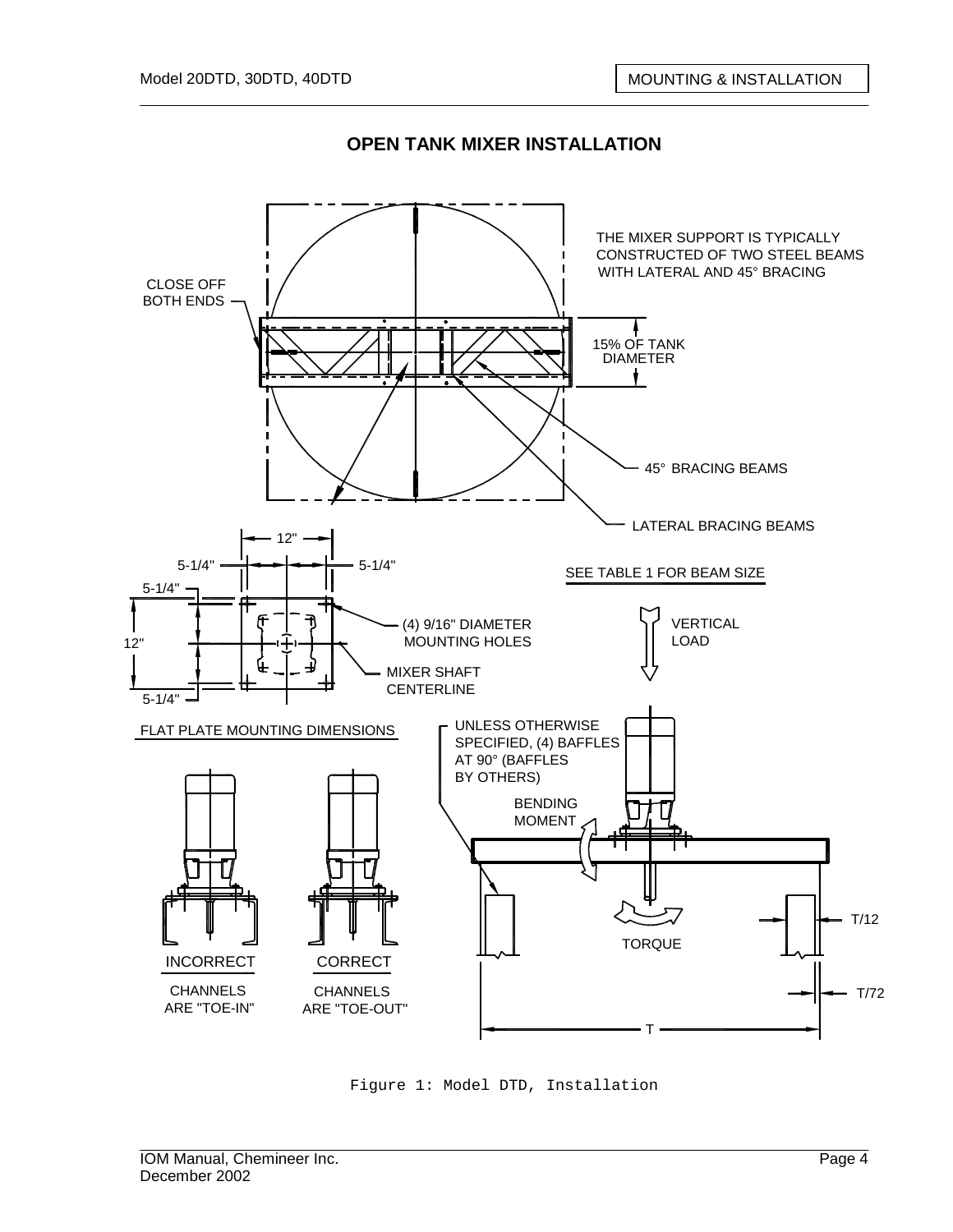

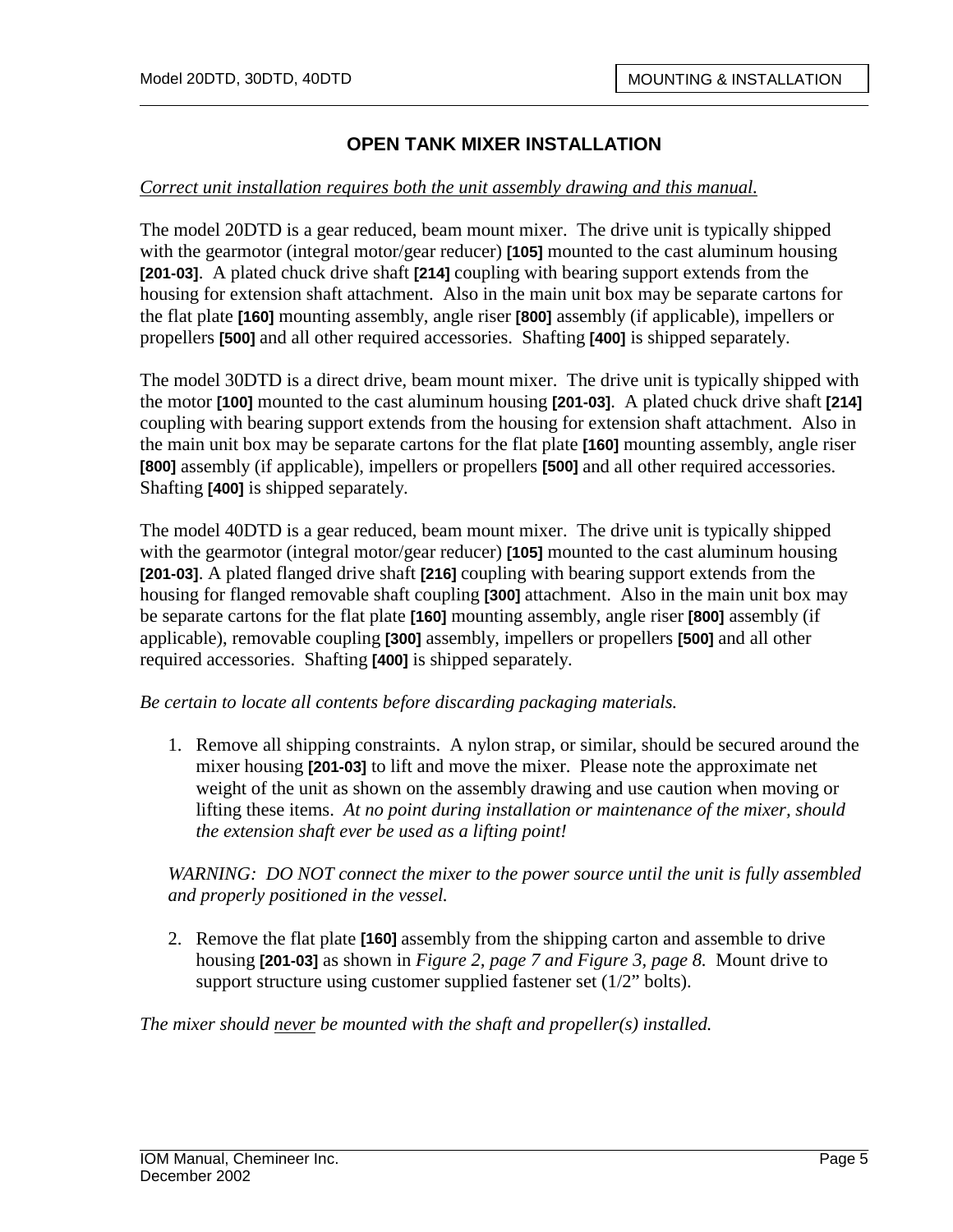#### *Correct unit installation requires both the unit assembly drawing and this manual.*

The model 20DTD is a gear reduced, beam mount mixer. The drive unit is typically shipped with the gearmotor (integral motor/gear reducer) **[105]** mounted to the cast aluminum housing **[201-03]**. A plated chuck drive shaft **[214]** coupling with bearing support extends from the housing for extension shaft attachment. Also in the main unit box may be separate cartons for the flat plate **[160]** mounting assembly, angle riser **[800]** assembly (if applicable), impellers or propellers **[500]** and all other required accessories. Shafting **[400]** is shipped separately.

The model 30DTD is a direct drive, beam mount mixer. The drive unit is typically shipped with the motor **[100]** mounted to the cast aluminum housing **[201-03]**. A plated chuck drive shaft **[214]**  coupling with bearing support extends from the housing for extension shaft attachment. Also in the main unit box may be separate cartons for the flat plate **[160]** mounting assembly, angle riser **[800]** assembly (if applicable), impellers or propellers **[500]** and all other required accessories. Shafting **[400]** is shipped separately.

The model 40DTD is a gear reduced, beam mount mixer. The drive unit is typically shipped with the gearmotor (integral motor/gear reducer) **[105]** mounted to the cast aluminum housing **[201-03]**. A plated flanged drive shaft **[216]** coupling with bearing support extends from the housing for flanged removable shaft coupling **[300]** attachment. Also in the main unit box may be separate cartons for the flat plate **[160]** mounting assembly, angle riser **[800]** assembly (if applicable), removable coupling **[300]** assembly, impellers or propellers **[500]** and all other required accessories. Shafting **[400]** is shipped separately.

#### *Be certain to locate all contents before discarding packaging materials.*

1. Remove all shipping constraints. A nylon strap, or similar, should be secured around the mixer housing **[201-03]** to lift and move the mixer. Please note the approximate net weight of the unit as shown on the assembly drawing and use caution when moving or lifting these items. *At no point during installation or maintenance of the mixer, should the extension shaft ever be used as a lifting point!* 

*WARNING: DO NOT connect the mixer to the power source until the unit is fully assembled and properly positioned in the vessel.* 

2. Remove the flat plate **[160]** assembly from the shipping carton and assemble to drive housing **[201-03]** as shown in *Figure 2, page 7 and Figure 3, page 8.* Mount drive to support structure using customer supplied fastener set (1/2" bolts).

*The mixer should never be mounted with the shaft and propeller(s) installed.*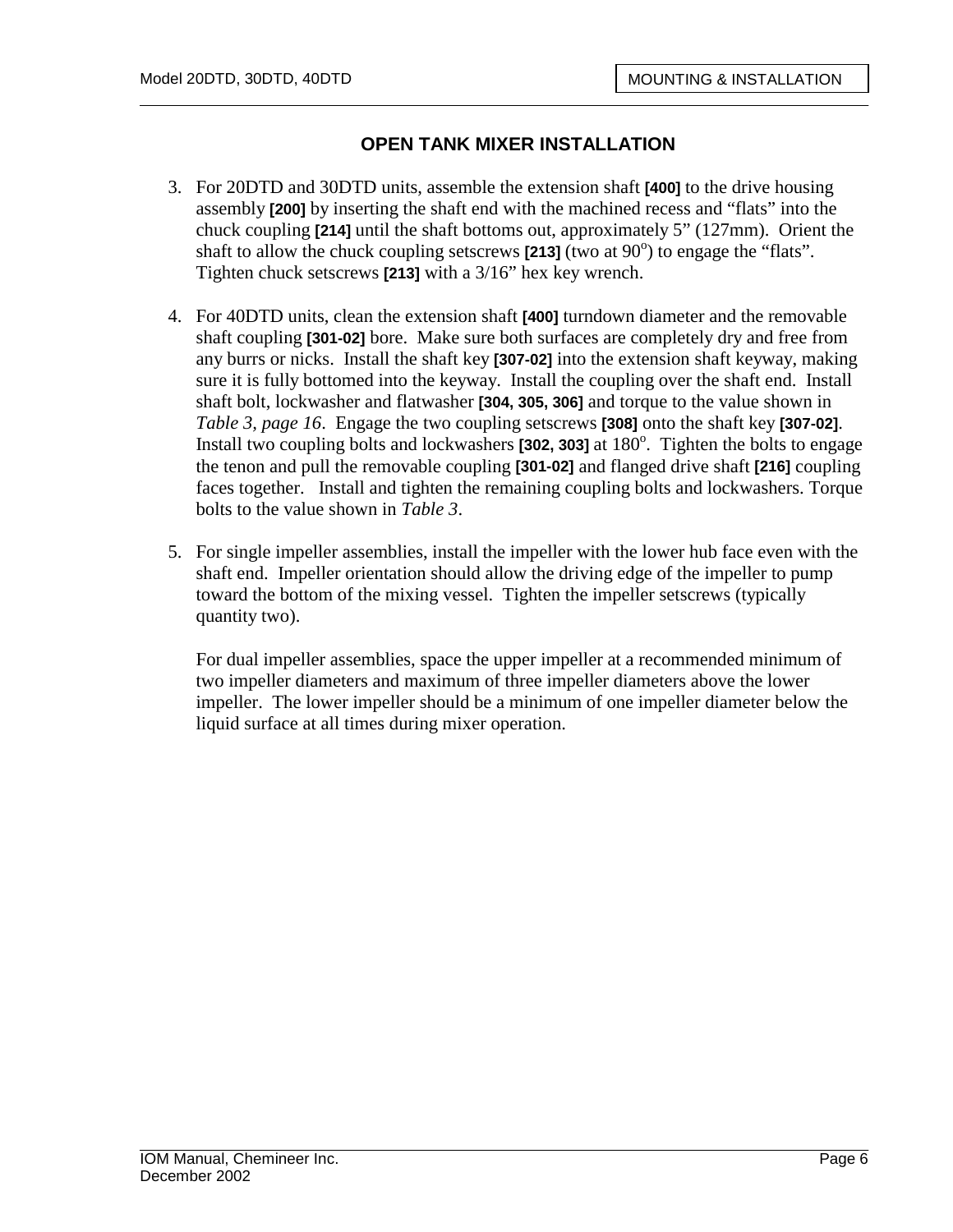- 3. For 20DTD and 30DTD units, assemble the extension shaft **[400]** to the drive housing assembly **[200]** by inserting the shaft end with the machined recess and "flats" into the chuck coupling **[214]** until the shaft bottoms out, approximately 5" (127mm). Orient the shaft to allow the chuck coupling setscrews  $\overline{[213]}$  (two at 90<sup>o</sup>) to engage the "flats". Tighten chuck setscrews **[213]** with a 3/16" hex key wrench.
- 4. For 40DTD units, clean the extension shaft **[400]** turndown diameter and the removable shaft coupling **[301-02]** bore. Make sure both surfaces are completely dry and free from any burrs or nicks. Install the shaft key **[307-02]** into the extension shaft keyway, making sure it is fully bottomed into the keyway. Install the coupling over the shaft end. Install shaft bolt, lockwasher and flatwasher **[304, 305, 306]** and torque to the value shown in *Table 3, page 16*. Engage the two coupling setscrews **[308]** onto the shaft key **[307-02]**. Install two coupling bolts and lockwashers **[302, 303]** at 180<sup>°</sup>. Tighten the bolts to engage the tenon and pull the removable coupling **[301-02]** and flanged drive shaft **[216]** coupling faces together. Install and tighten the remaining coupling bolts and lockwashers. Torque bolts to the value shown in *Table 3*.
- 5. For single impeller assemblies, install the impeller with the lower hub face even with the shaft end. Impeller orientation should allow the driving edge of the impeller to pump toward the bottom of the mixing vessel. Tighten the impeller setscrews (typically quantity two).

For dual impeller assemblies, space the upper impeller at a recommended minimum of two impeller diameters and maximum of three impeller diameters above the lower impeller. The lower impeller should be a minimum of one impeller diameter below the liquid surface at all times during mixer operation.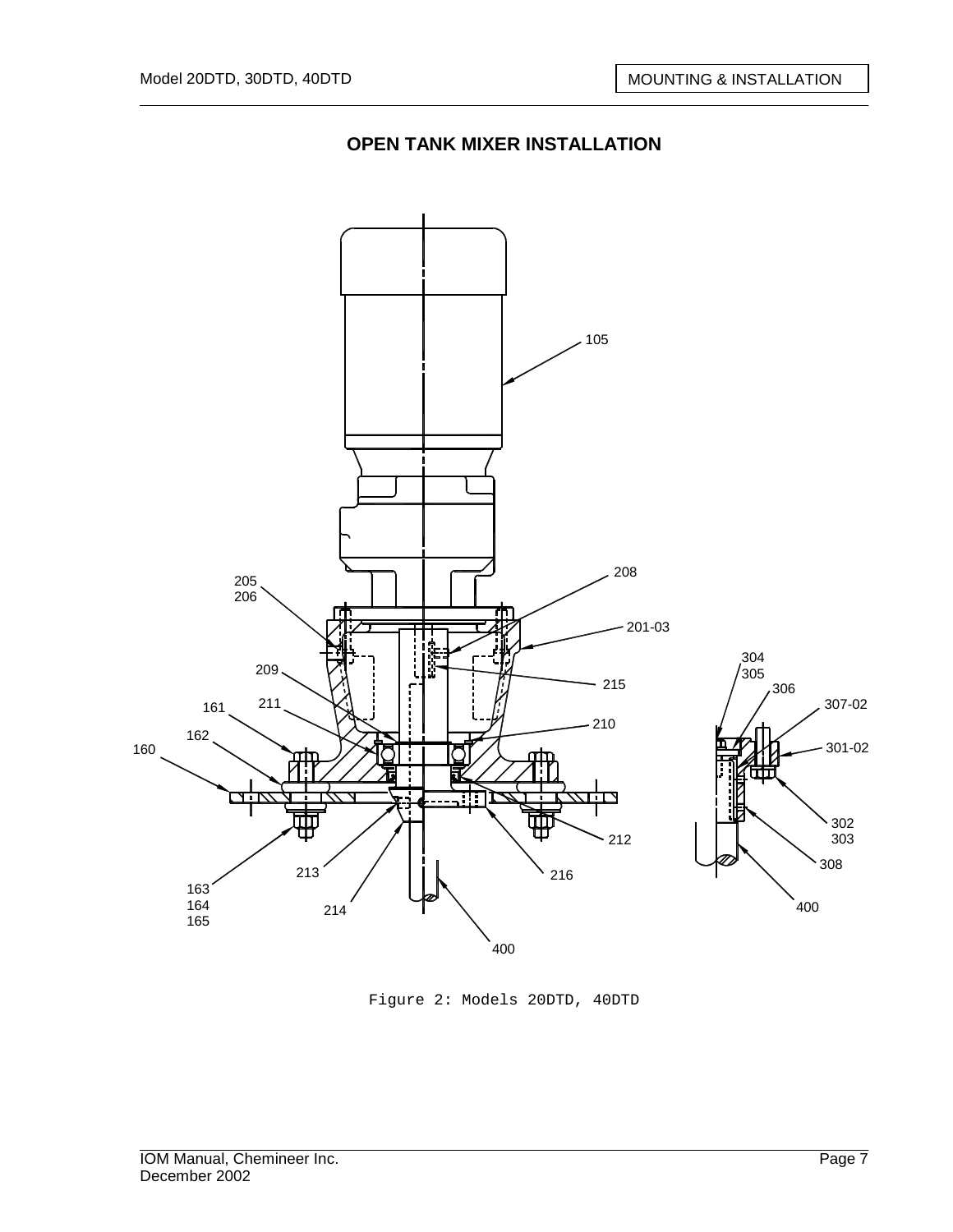

Figure 2: Models 20DTD, 40DTD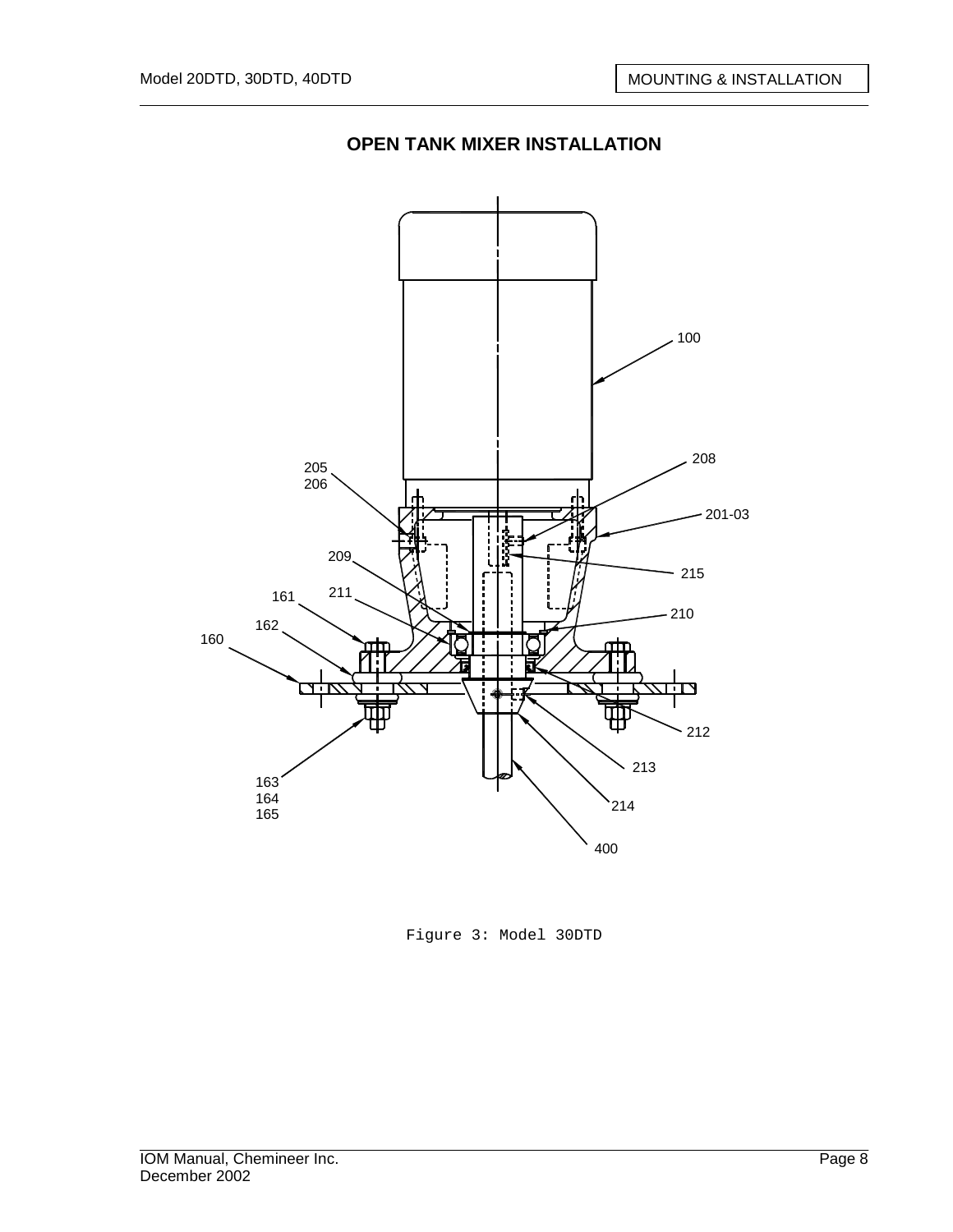

Figure 3: Model 30DTD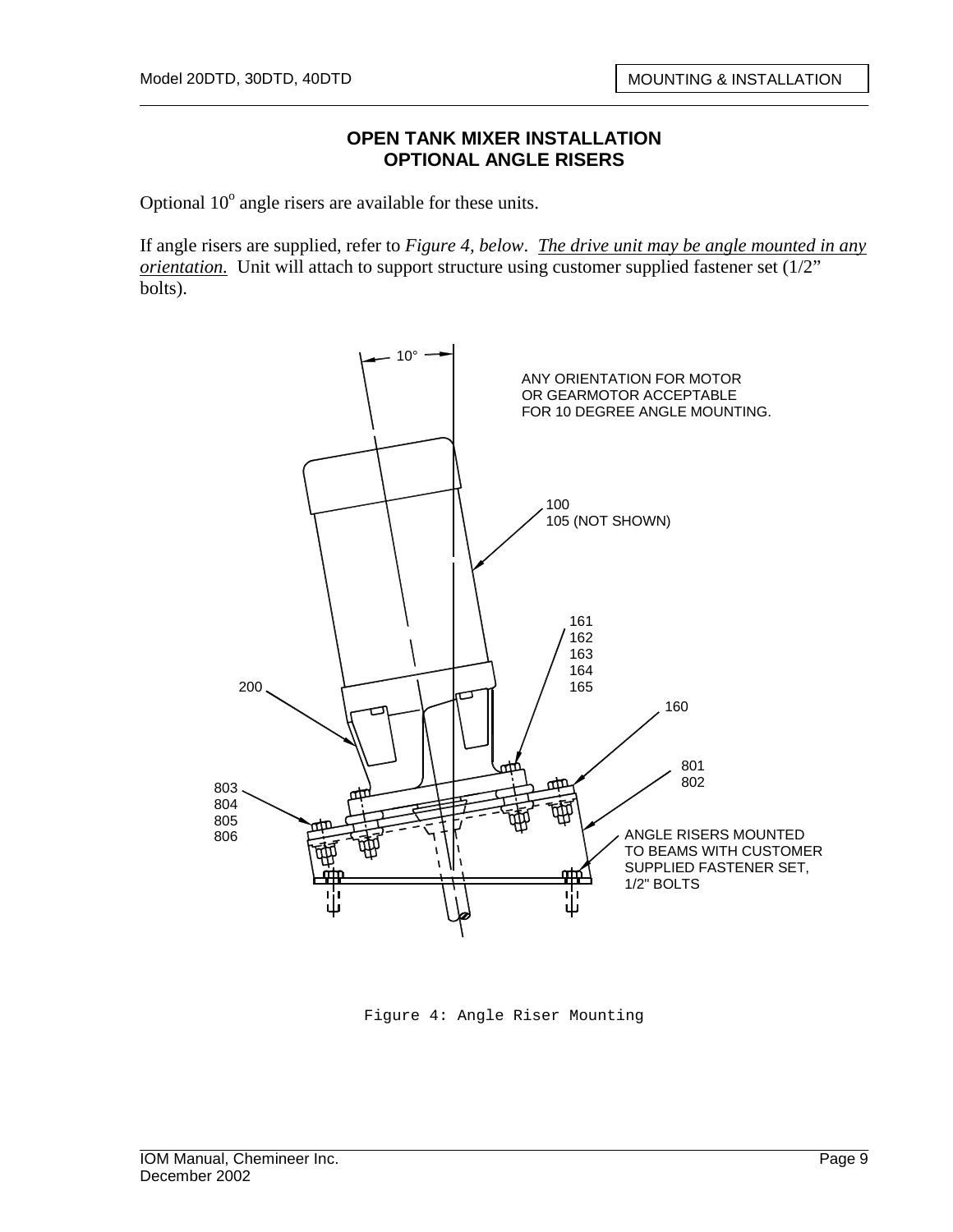#### **OPEN TANK MIXER INSTALLATION OPTIONAL ANGLE RISERS**

Optional  $10^{\circ}$  angle risers are available for these units.

If angle risers are supplied, refer to *Figure 4, below*. *The drive unit may be angle mounted in any orientation.* Unit will attach to support structure using customer supplied fastener set (1/2" bolts).



Figure 4: Angle Riser Mounting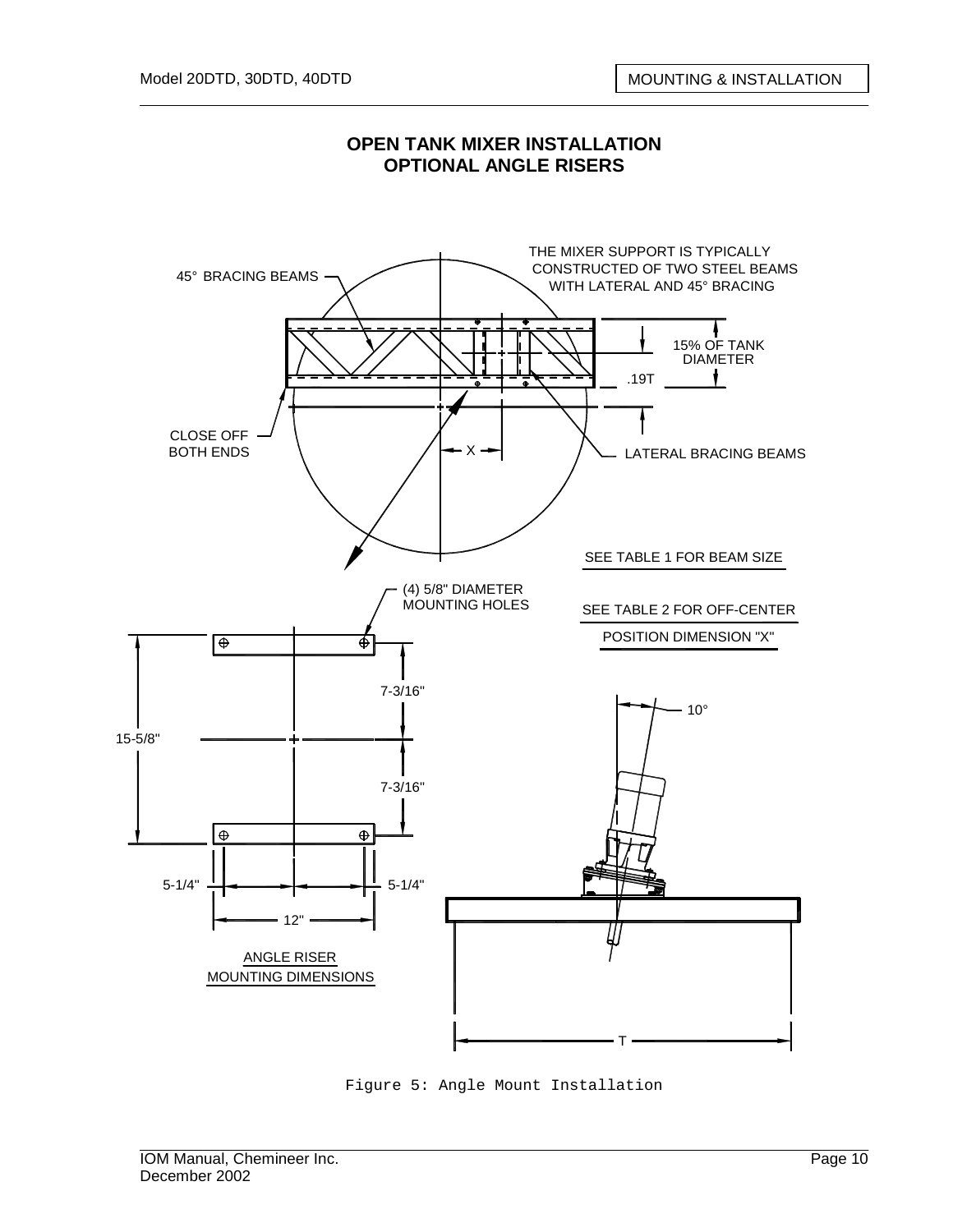

#### **OPEN TANK MIXER INSTALLATION OPTIONAL ANGLE RISERS**

Figure 5: Angle Mount Installation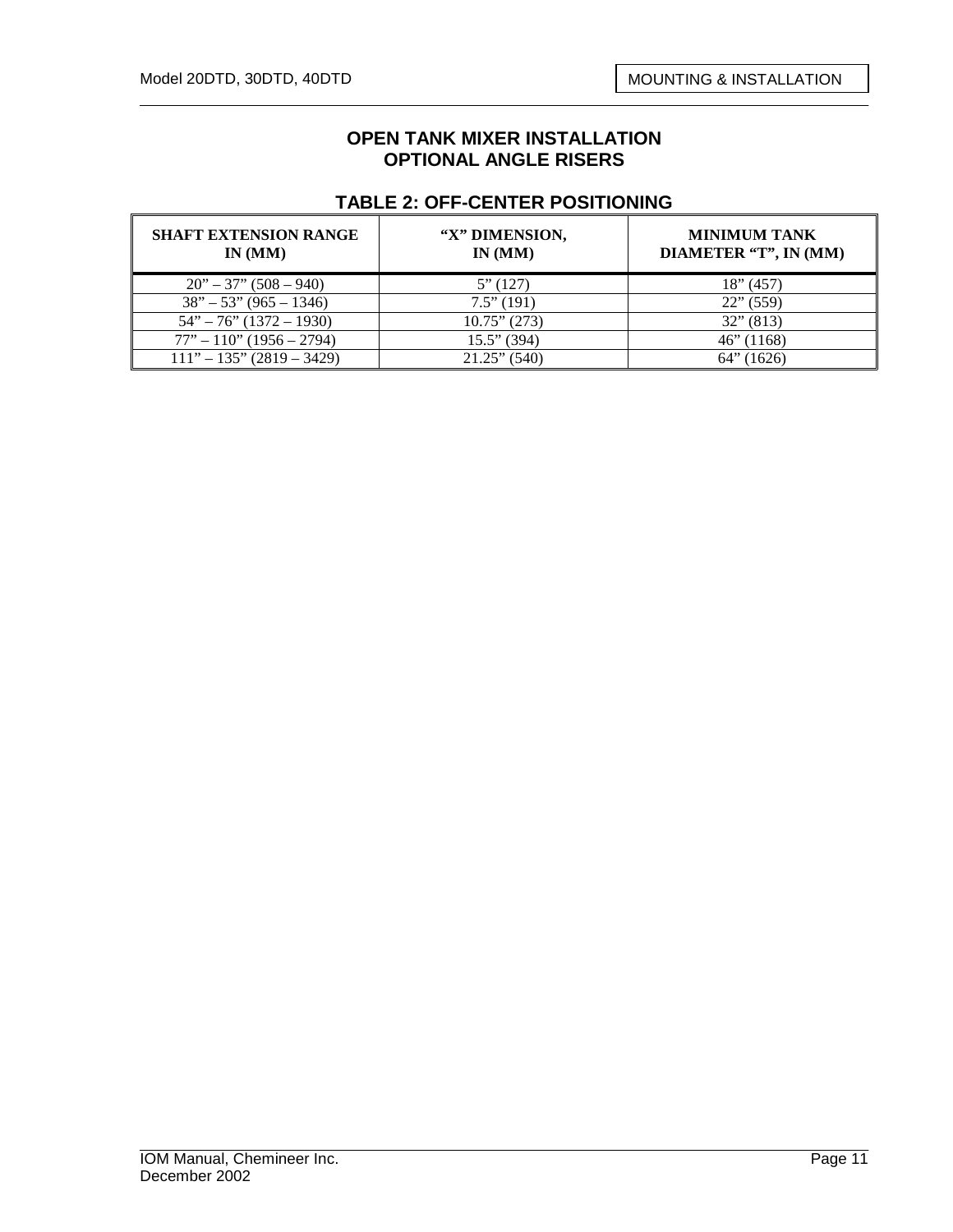#### **OPEN TANK MIXER INSTALLATION OPTIONAL ANGLE RISERS**

#### **TABLE 2: OFF-CENTER POSITIONING**

| <b>SHAFT EXTENSION RANGE</b><br>IN(MM) | "X" DIMENSION,<br>IN(MM) | <b>MINIMUM TANK</b><br>DIAMETER "T", IN (MM) |
|----------------------------------------|--------------------------|----------------------------------------------|
| $20" - 37" (508 - 940)$                | 5''(127)                 | 18" (457)                                    |
| $38" - 53" (965 - 1346)$               | $7.5$ " (191)            | $22$ " (559)                                 |
| $54" - 76" (1372 - 1930)$              | $10.75$ " (273)          | $32$ " (813)                                 |
| $77" - 110"$ (1956 – 2794)             | $15.5$ " (394)           | $46$ " (1168)                                |
| $111" - 135" (2819 - 3429)$            | $21.25$ " (540)          | (1626)<br>64"                                |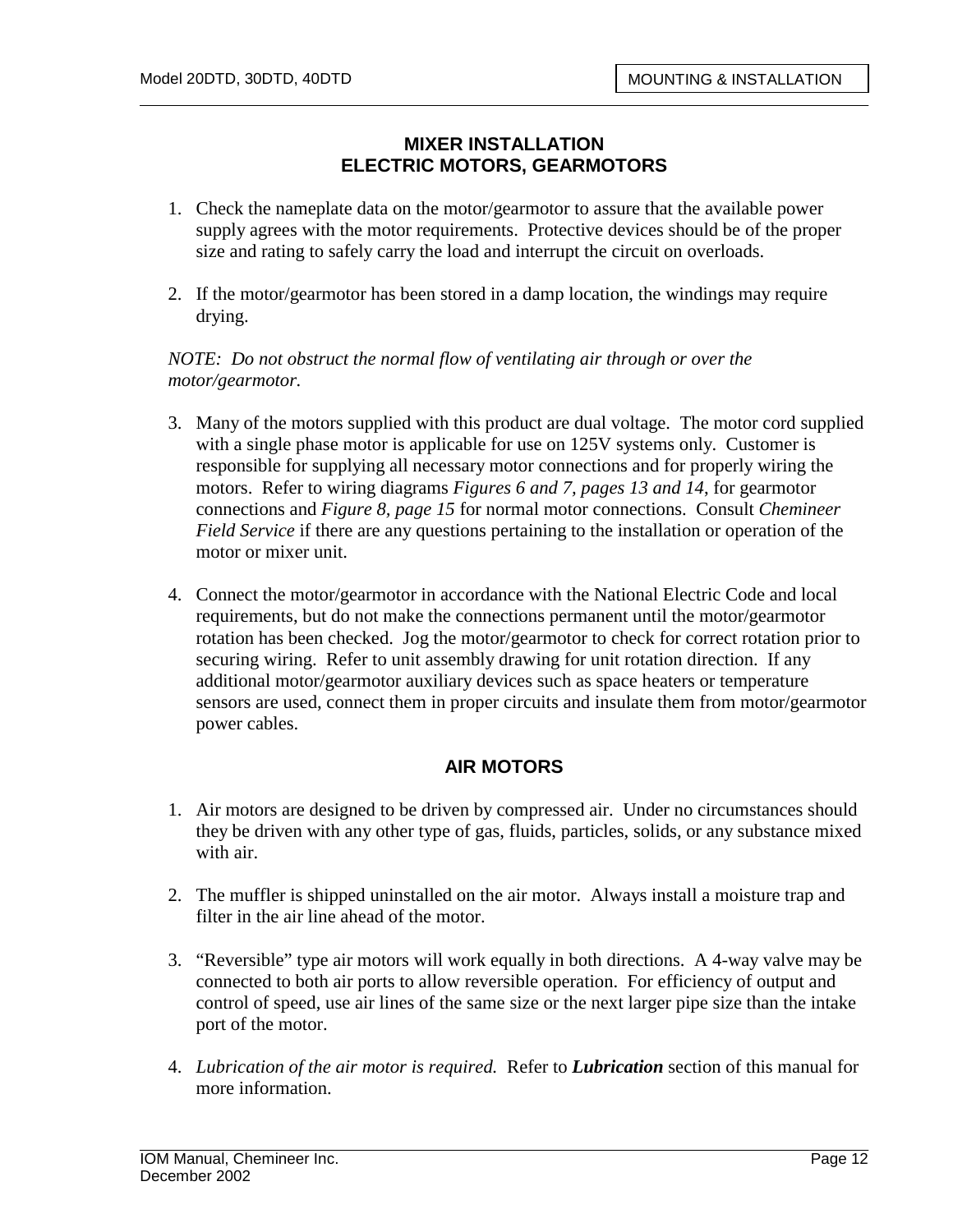## **MIXER INSTALLATION ELECTRIC MOTORS, GEARMOTORS**

- 1. Check the nameplate data on the motor/gearmotor to assure that the available power supply agrees with the motor requirements. Protective devices should be of the proper size and rating to safely carry the load and interrupt the circuit on overloads.
- 2. If the motor/gearmotor has been stored in a damp location, the windings may require drying.

*NOTE: Do not obstruct the normal flow of ventilating air through or over the motor/gearmotor.* 

- 3. Many of the motors supplied with this product are dual voltage. The motor cord supplied with a single phase motor is applicable for use on 125V systems only. Customer is responsible for supplying all necessary motor connections and for properly wiring the motors. Refer to wiring diagrams *Figures 6 and 7, pages 13 and 14*, for gearmotor connections and *Figure 8, page 15* for normal motor connections. Consult *Chemineer Field Service* if there are any questions pertaining to the installation or operation of the motor or mixer unit.
- 4. Connect the motor/gearmotor in accordance with the National Electric Code and local requirements, but do not make the connections permanent until the motor/gearmotor rotation has been checked. Jog the motor/gearmotor to check for correct rotation prior to securing wiring. Refer to unit assembly drawing for unit rotation direction. If any additional motor/gearmotor auxiliary devices such as space heaters or temperature sensors are used, connect them in proper circuits and insulate them from motor/gearmotor power cables.

## **AIR MOTORS**

- 1. Air motors are designed to be driven by compressed air. Under no circumstances should they be driven with any other type of gas, fluids, particles, solids, or any substance mixed with air.
- 2. The muffler is shipped uninstalled on the air motor. Always install a moisture trap and filter in the air line ahead of the motor.
- 3. "Reversible" type air motors will work equally in both directions. A 4-way valve may be connected to both air ports to allow reversible operation. For efficiency of output and control of speed, use air lines of the same size or the next larger pipe size than the intake port of the motor.
- 4. *Lubrication of the air motor is required.* Refer to *Lubrication* section of this manual for more information.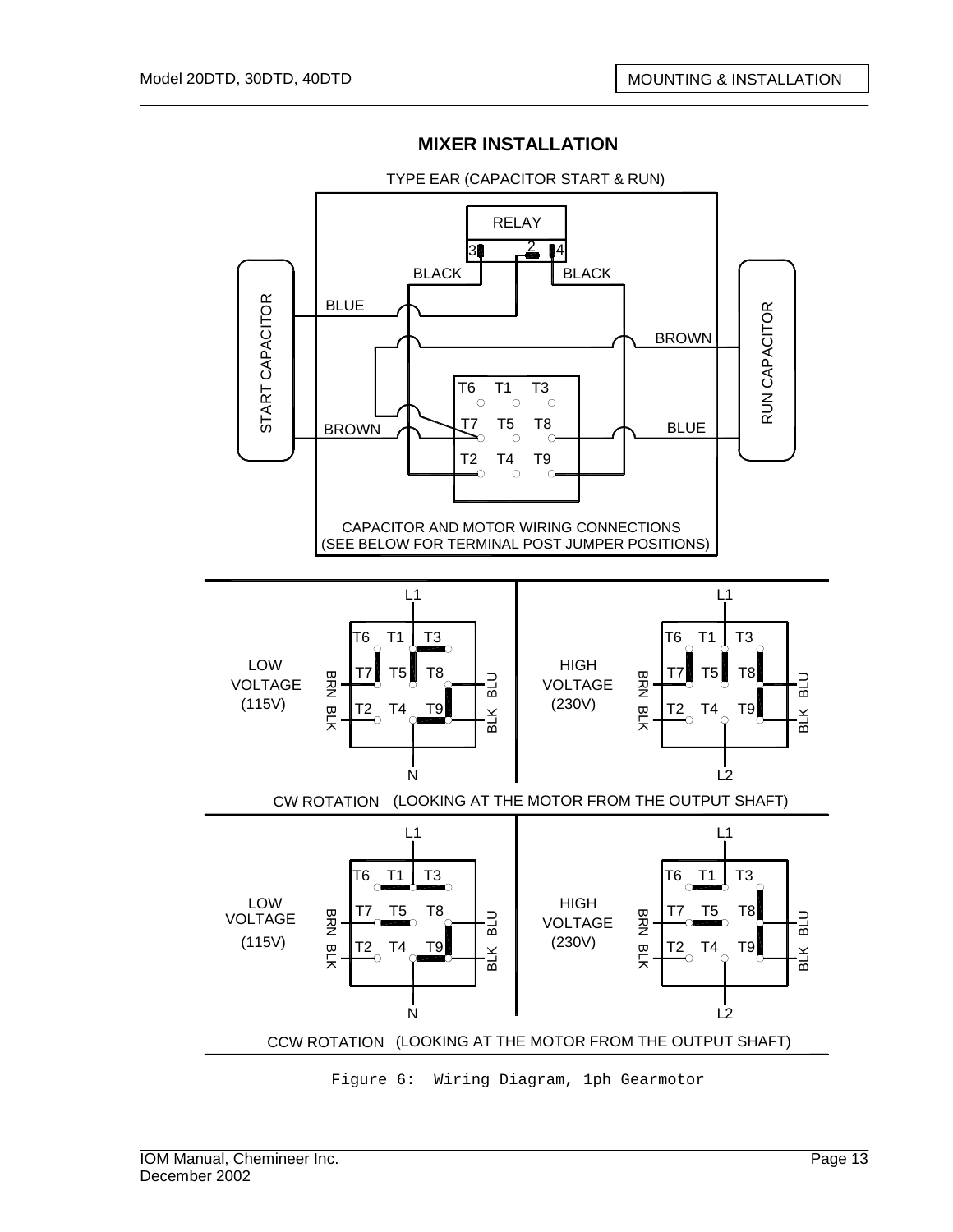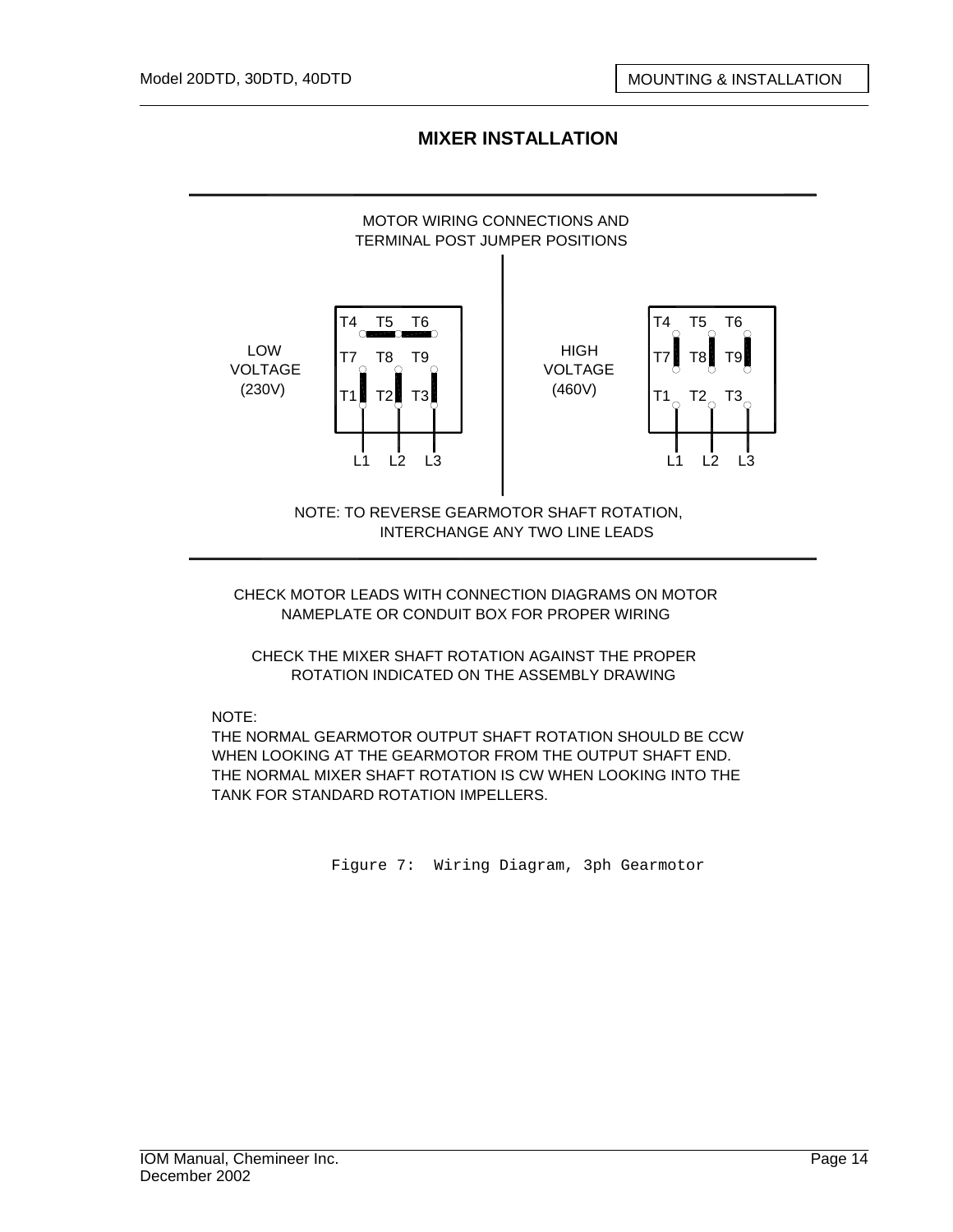

CHECK MOTOR LEADS WITH CONNECTION DIAGRAMS ON MOTOR NAMEPLATE OR CONDUIT BOX FOR PROPER WIRING

CHECK THE MIXER SHAFT ROTATION AGAINST THE PROPER ROTATION INDICATED ON THE ASSEMBLY DRAWING

NOTE:

THE NORMAL GEARMOTOR OUTPUT SHAFT ROTATION SHOULD BE CCW WHEN LOOKING AT THE GEARMOTOR FROM THE OUTPUT SHAFT END. THE NORMAL MIXER SHAFT ROTATION IS CW WHEN LOOKING INTO THE TANK FOR STANDARD ROTATION IMPELLERS.

Figure 7: Wiring Diagram, 3ph Gearmotor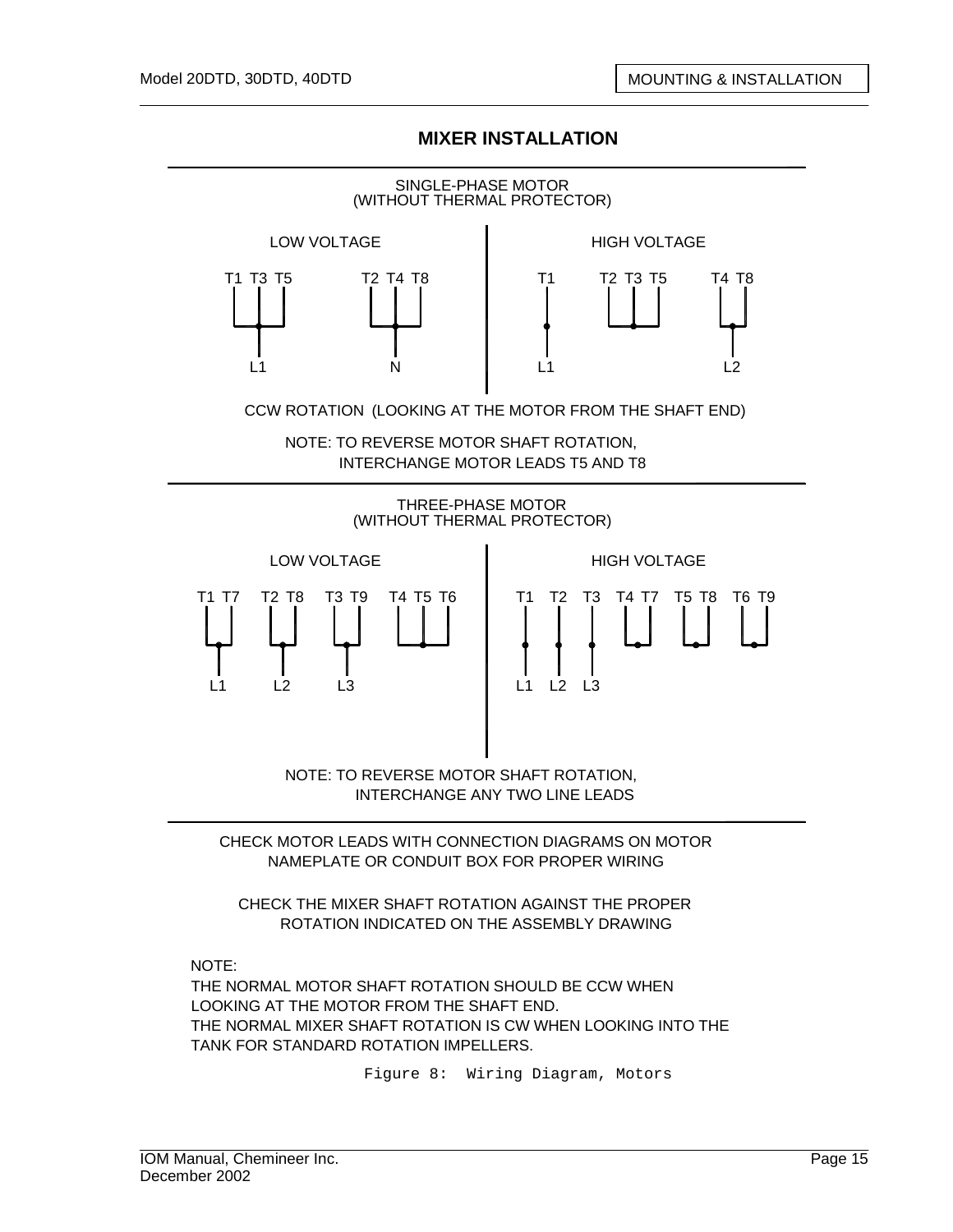

NAMEPLATE OR CONDUIT BOX FOR PROPER WIRING

CHECK THE MIXER SHAFT ROTATION AGAINST THE PROPER ROTATION INDICATED ON THE ASSEMBLY DRAWING

NOTE:

THE NORMAL MOTOR SHAFT ROTATION SHOULD BE CCW WHEN LOOKING AT THE MOTOR FROM THE SHAFT END. THE NORMAL MIXER SHAFT ROTATION IS CW WHEN LOOKING INTO THE TANK FOR STANDARD ROTATION IMPELLERS.

Figure 8: Wiring Diagram, Motors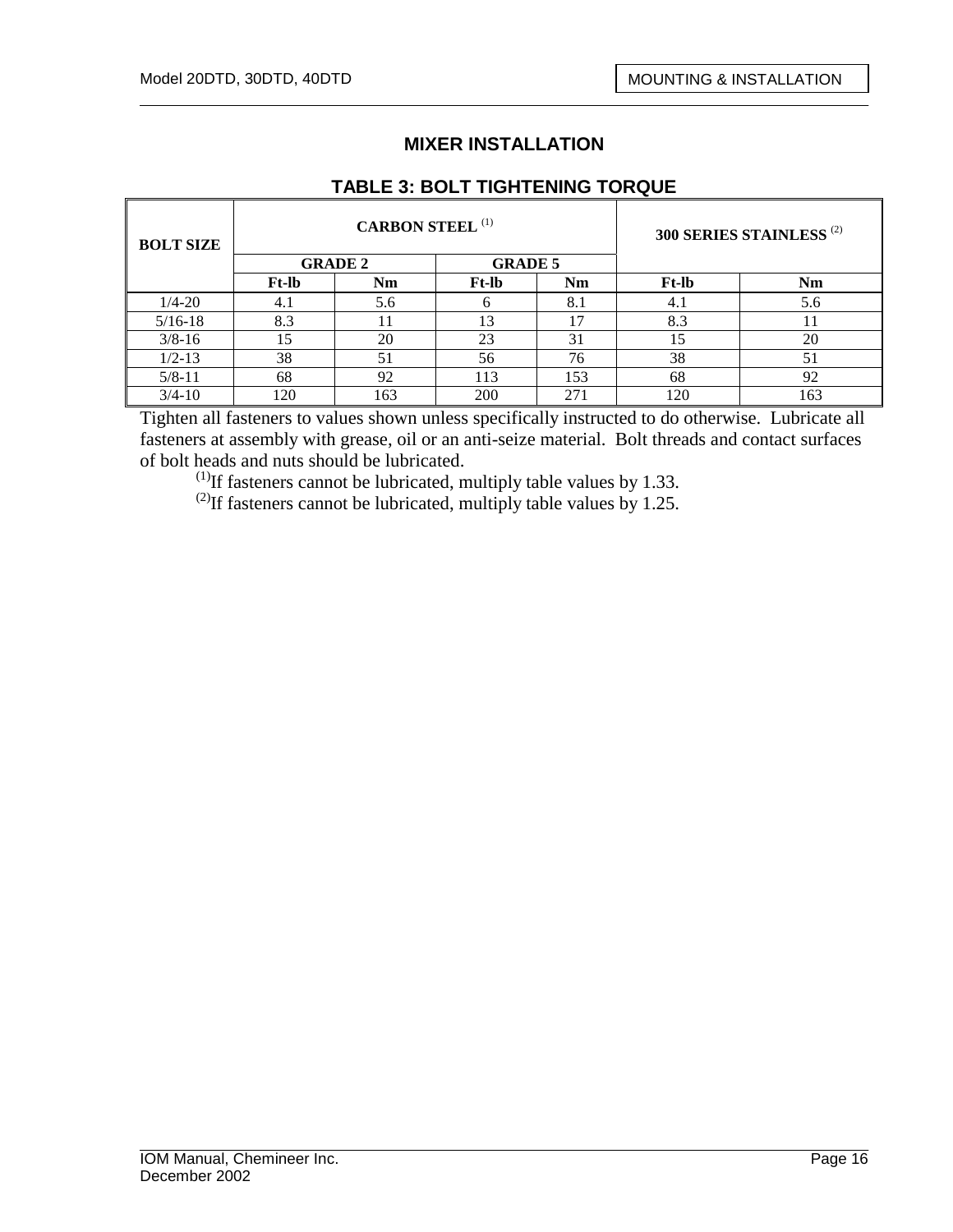## **TABLE 3: BOLT TIGHTENING TORQUE**

| <b>BOLT SIZE</b> |              | <b>CARBON STEEL (1)</b> | 300 SERIES STAINLESS <sup>(2)</sup> |     |              |     |
|------------------|--------------|-------------------------|-------------------------------------|-----|--------------|-----|
|                  |              | <b>GRADE 2</b>          | <b>GRADE 5</b>                      |     |              |     |
|                  | <b>Ft-lb</b> | Nm                      | <b>Ft-lb</b>                        | Nm  | <b>Ft-lb</b> | Nm  |
| $1/4 - 20$       | 4.1          | 5.6                     |                                     | 8.1 | 4.1          | 5.6 |
| $5/16-18$        | 8.3          |                         | 13                                  | 17  | 8.3          | 11  |
| $3/8 - 16$       | 15           | 20                      | 23                                  | 31  | 15           | 20  |
| $1/2 - 13$       | 38           | 51                      | 56                                  | 76  | 38           | 51  |
| $5/8 - 11$       | 68           | 92                      | 113                                 | 153 | 68           | 92  |
| $3/4 - 10$       | 120          | 163                     | 200                                 | 271 | 120          | 163 |

Tighten all fasteners to values shown unless specifically instructed to do otherwise. Lubricate all fasteners at assembly with grease, oil or an anti-seize material. Bolt threads and contact surfaces of bolt heads and nuts should be lubricated.

 $^{(1)}$ If fasteners cannot be lubricated, multiply table values by 1.33.

<sup>(2)</sup>If fasteners cannot be lubricated, multiply table values by 1.25.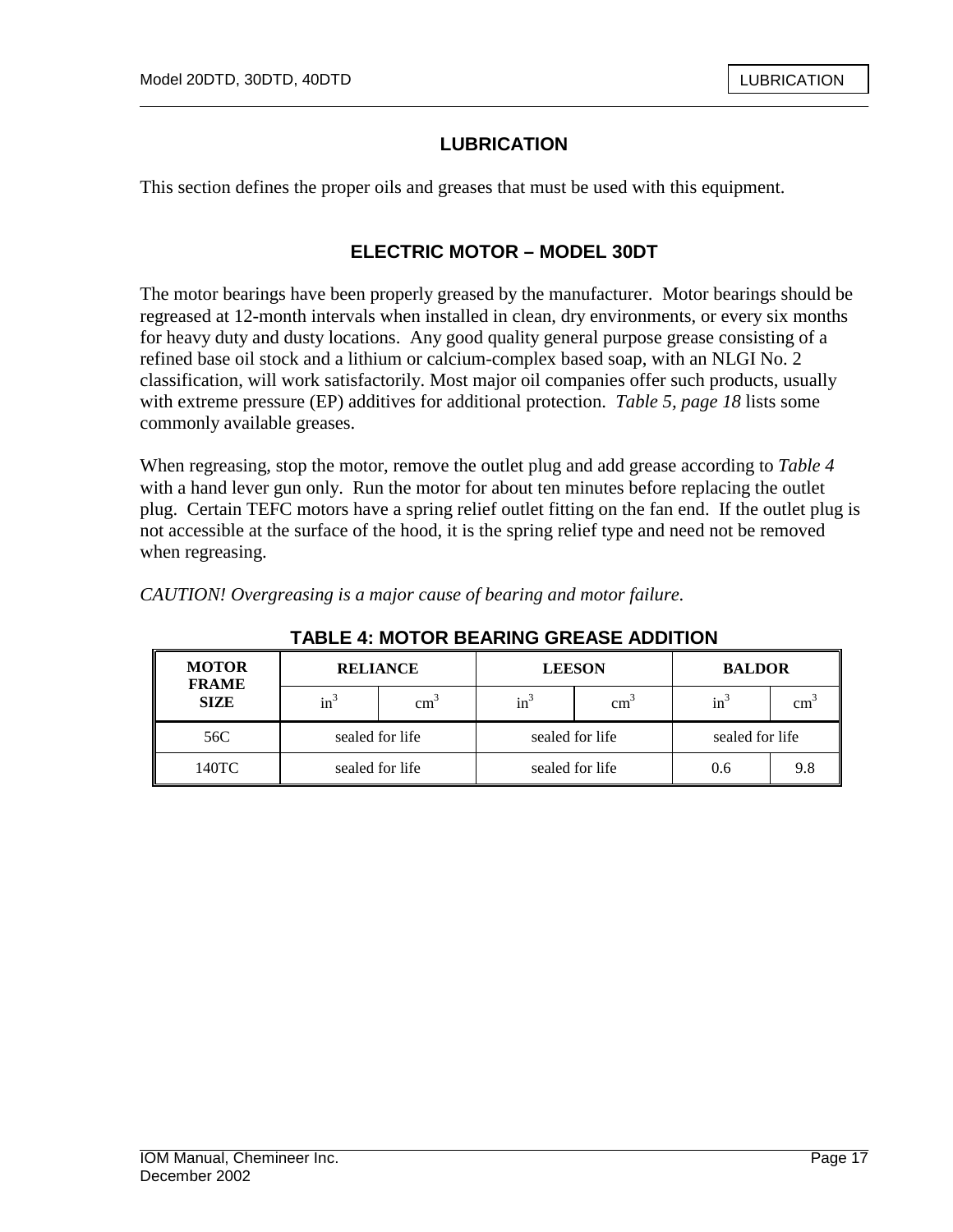## **LUBRICATION**

This section defines the proper oils and greases that must be used with this equipment.

#### **ELECTRIC MOTOR – MODEL 30DT**

The motor bearings have been properly greased by the manufacturer. Motor bearings should be regreased at 12-month intervals when installed in clean, dry environments, or every six months for heavy duty and dusty locations. Any good quality general purpose grease consisting of a refined base oil stock and a lithium or calcium-complex based soap, with an NLGI No. 2 classification, will work satisfactorily. Most major oil companies offer such products, usually with extreme pressure (EP) additives for additional protection. *Table 5, page 18* lists some commonly available greases.

When regreasing, stop the motor, remove the outlet plug and add grease according to *Table 4*  with a hand lever gun only. Run the motor for about ten minutes before replacing the outlet plug. Certain TEFC motors have a spring relief outlet fitting on the fan end. If the outlet plug is not accessible at the surface of the hood, it is the spring relief type and need not be removed when regreasing.

*CAUTION! Overgreasing is a major cause of bearing and motor failure.*

| <b>MOTOR</b><br><b>FRAME</b> | <b>RELIANCE</b> |               |        | <b>LEESON</b>   | <b>BALDOR</b>   |     |
|------------------------------|-----------------|---------------|--------|-----------------|-----------------|-----|
| <b>SIZE</b>                  | $in^3$          | $\text{cm}^3$ | $in^3$ | cm <sub>z</sub> | $in^2$          | cm  |
| 56C                          | sealed for life |               |        | sealed for life | sealed for life |     |
| 140TC                        | sealed for life |               |        | sealed for life | 0.6             | 9.8 |

#### **TABLE 4: MOTOR BEARING GREASE ADDITION**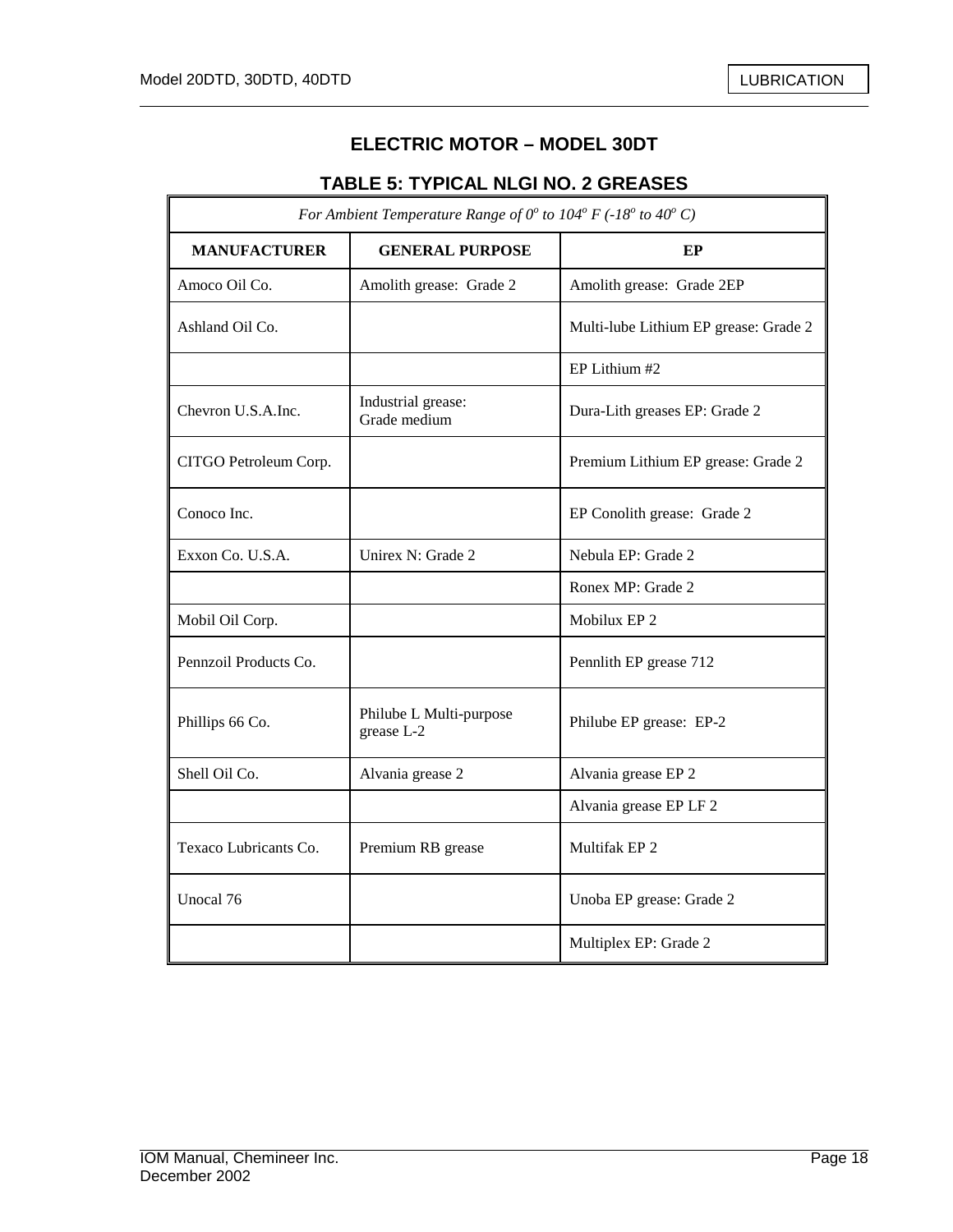$\mathbb{F}$ 

7

## **ELECTRIC MOTOR – MODEL 30DT**

## **TABLE 5: TYPICAL NLGI NO. 2 GREASES**

| For Ambient Temperature Range of $0^{\circ}$ to $104^{\circ}$ F (-18° to 40° C) |                                       |                                       |  |  |  |
|---------------------------------------------------------------------------------|---------------------------------------|---------------------------------------|--|--|--|
| <b>MANUFACTURER</b>                                                             | <b>GENERAL PURPOSE</b>                | EP                                    |  |  |  |
| Amoco Oil Co.                                                                   | Amolith grease: Grade 2               | Amolith grease: Grade 2EP             |  |  |  |
| Ashland Oil Co.                                                                 |                                       | Multi-lube Lithium EP grease: Grade 2 |  |  |  |
|                                                                                 |                                       | EP Lithium #2                         |  |  |  |
| Chevron U.S.A.Inc.                                                              | Industrial grease:<br>Grade medium    | Dura-Lith greases EP: Grade 2         |  |  |  |
| CITGO Petroleum Corp.                                                           |                                       | Premium Lithium EP grease: Grade 2    |  |  |  |
| Conoco Inc.                                                                     |                                       | EP Conolith grease: Grade 2           |  |  |  |
| Exxon Co. U.S.A.                                                                | Unirex N: Grade 2                     | Nebula EP: Grade 2                    |  |  |  |
|                                                                                 |                                       | Ronex MP: Grade 2                     |  |  |  |
| Mobil Oil Corp.                                                                 |                                       | Mobilux EP 2                          |  |  |  |
| Pennzoil Products Co.                                                           |                                       | Pennlith EP grease 712                |  |  |  |
| Phillips 66 Co.                                                                 | Philube L Multi-purpose<br>grease L-2 | Philube EP grease: EP-2               |  |  |  |
| Shell Oil Co.                                                                   | Alvania grease 2                      | Alvania grease EP 2                   |  |  |  |
|                                                                                 |                                       | Alvania grease EP LF 2                |  |  |  |
| Texaco Lubricants Co.                                                           | Premium RB grease                     | Multifak EP <sub>2</sub>              |  |  |  |
| Unocal 76                                                                       |                                       | Unoba EP grease: Grade 2              |  |  |  |
|                                                                                 |                                       | Multiplex EP: Grade 2                 |  |  |  |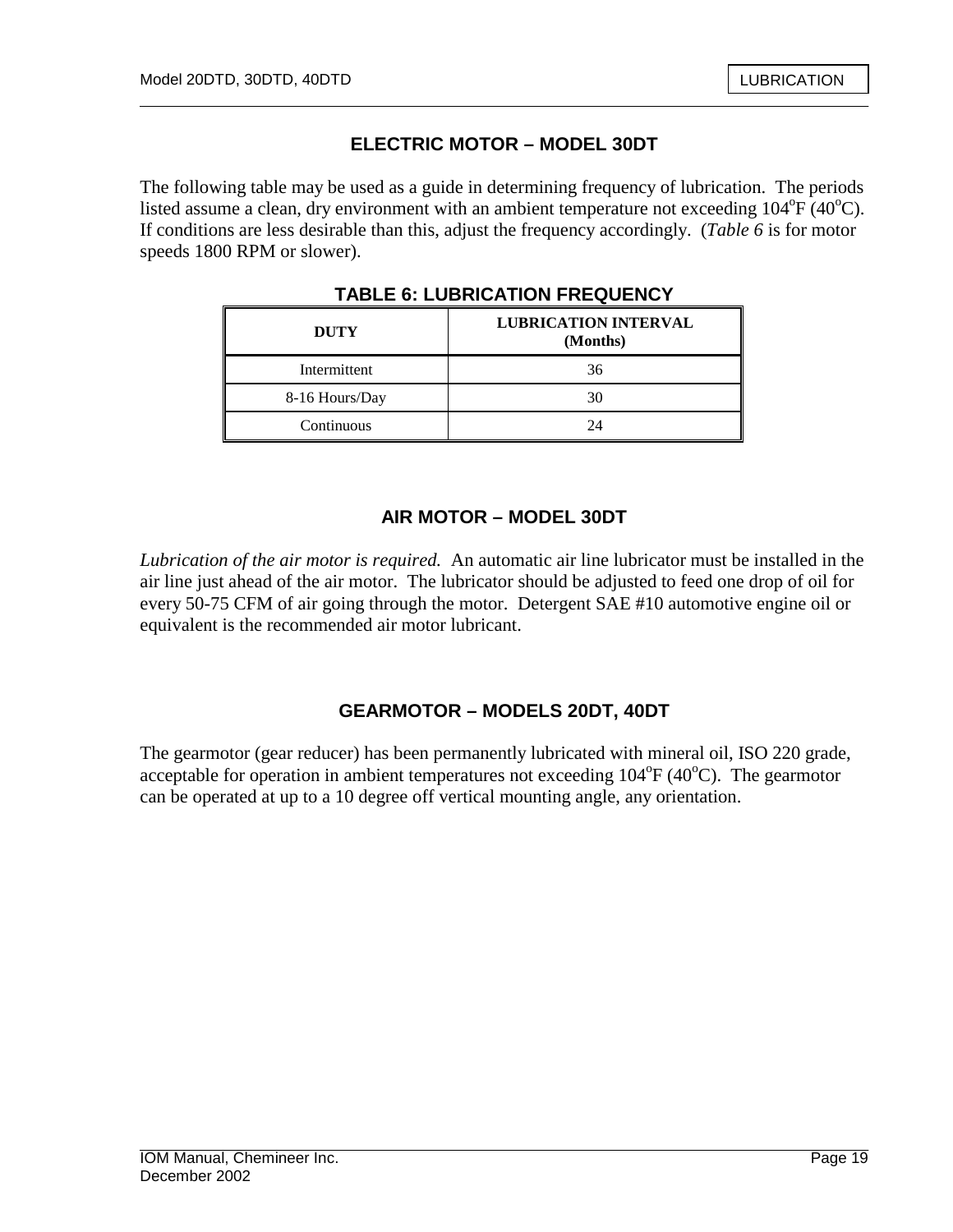## **ELECTRIC MOTOR – MODEL 30DT**

The following table may be used as a guide in determining frequency of lubrication. The periods listed assume a clean, dry environment with an ambient temperature not exceeding  $104^{\circ}F(40^{\circ}C)$ . If conditions are less desirable than this, adjust the frequency accordingly. (*Table 6* is for motor speeds 1800 RPM or slower).

| <b>DUTY</b>    | <b>LUBRICATION INTERVAL</b><br>(Months) |
|----------------|-----------------------------------------|
| Intermittent   | 36                                      |
| 8-16 Hours/Day | 30                                      |
| Continuous     | $\gamma_{\varDelta}$                    |

**TABLE 6: LUBRICATION FREQUENCY** 

## **AIR MOTOR – MODEL 30DT**

*Lubrication of the air motor is required.* An automatic air line lubricator must be installed in the air line just ahead of the air motor. The lubricator should be adjusted to feed one drop of oil for every 50-75 CFM of air going through the motor. Detergent SAE #10 automotive engine oil or equivalent is the recommended air motor lubricant.

## **GEARMOTOR – MODELS 20DT, 40DT**

The gearmotor (gear reducer) has been permanently lubricated with mineral oil, ISO 220 grade, acceptable for operation in ambient temperatures not exceeding  $104^{\circ}F(40^{\circ}C)$ . The gearmotor can be operated at up to a 10 degree off vertical mounting angle, any orientation.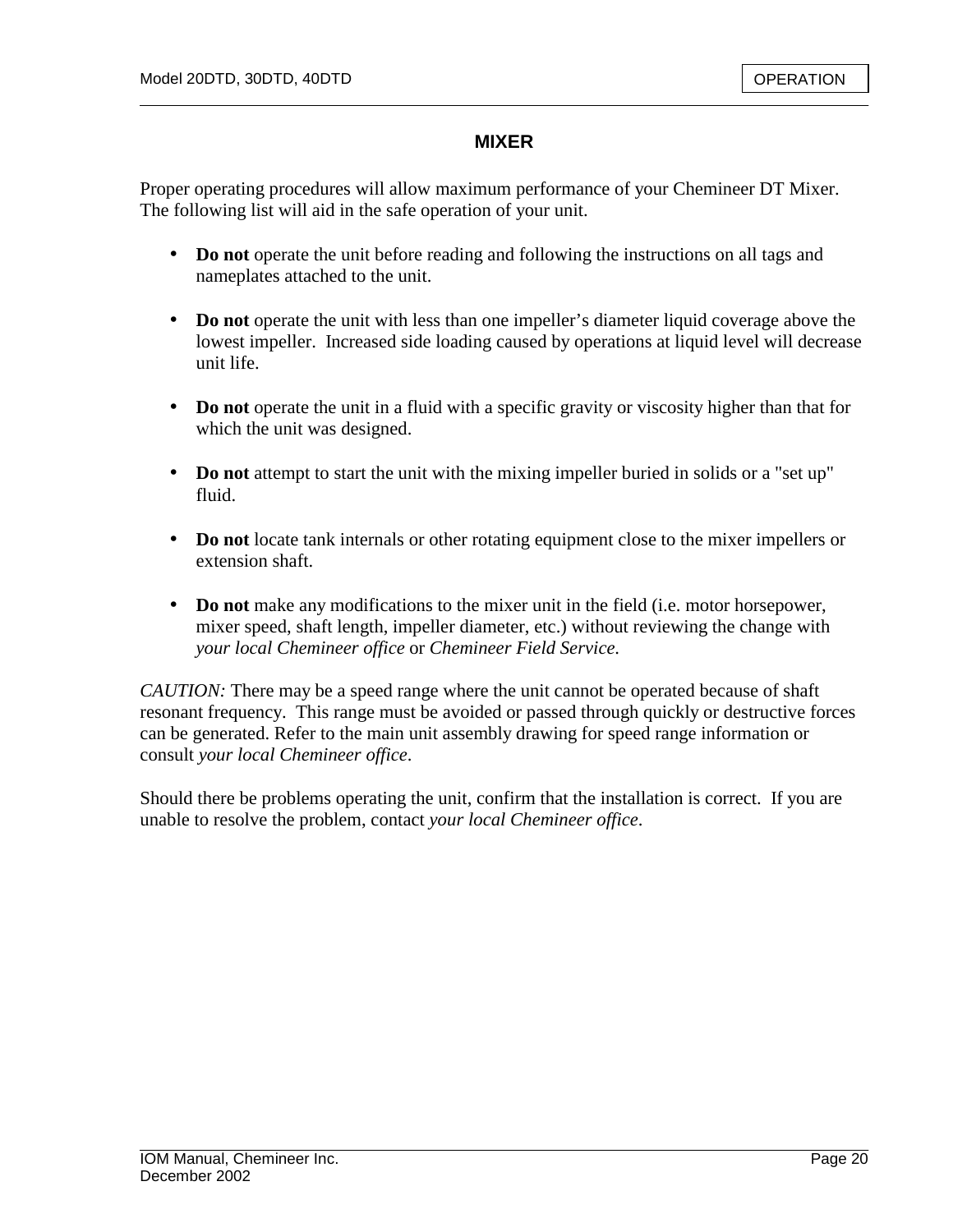#### **MIXER**

Proper operating procedures will allow maximum performance of your Chemineer DT Mixer. The following list will aid in the safe operation of your unit.

- **Do not** operate the unit before reading and following the instructions on all tags and nameplates attached to the unit.
- **Do not** operate the unit with less than one impeller's diameter liquid coverage above the lowest impeller. Increased side loading caused by operations at liquid level will decrease unit life.
- **Do not** operate the unit in a fluid with a specific gravity or viscosity higher than that for which the unit was designed.
- **Do not** attempt to start the unit with the mixing impeller buried in solids or a "set up" fluid.
- **Do not** locate tank internals or other rotating equipment close to the mixer impellers or extension shaft.
- **Do not** make any modifications to the mixer unit in the field (i.e. motor horsepower, mixer speed, shaft length, impeller diameter, etc.) without reviewing the change with *your local Chemineer office* or *Chemineer Field Service*.

*CAUTION:* There may be a speed range where the unit cannot be operated because of shaft resonant frequency. This range must be avoided or passed through quickly or destructive forces can be generated. Refer to the main unit assembly drawing for speed range information or consult *your local Chemineer office*.

Should there be problems operating the unit, confirm that the installation is correct. If you are unable to resolve the problem, contact *your local Chemineer office*.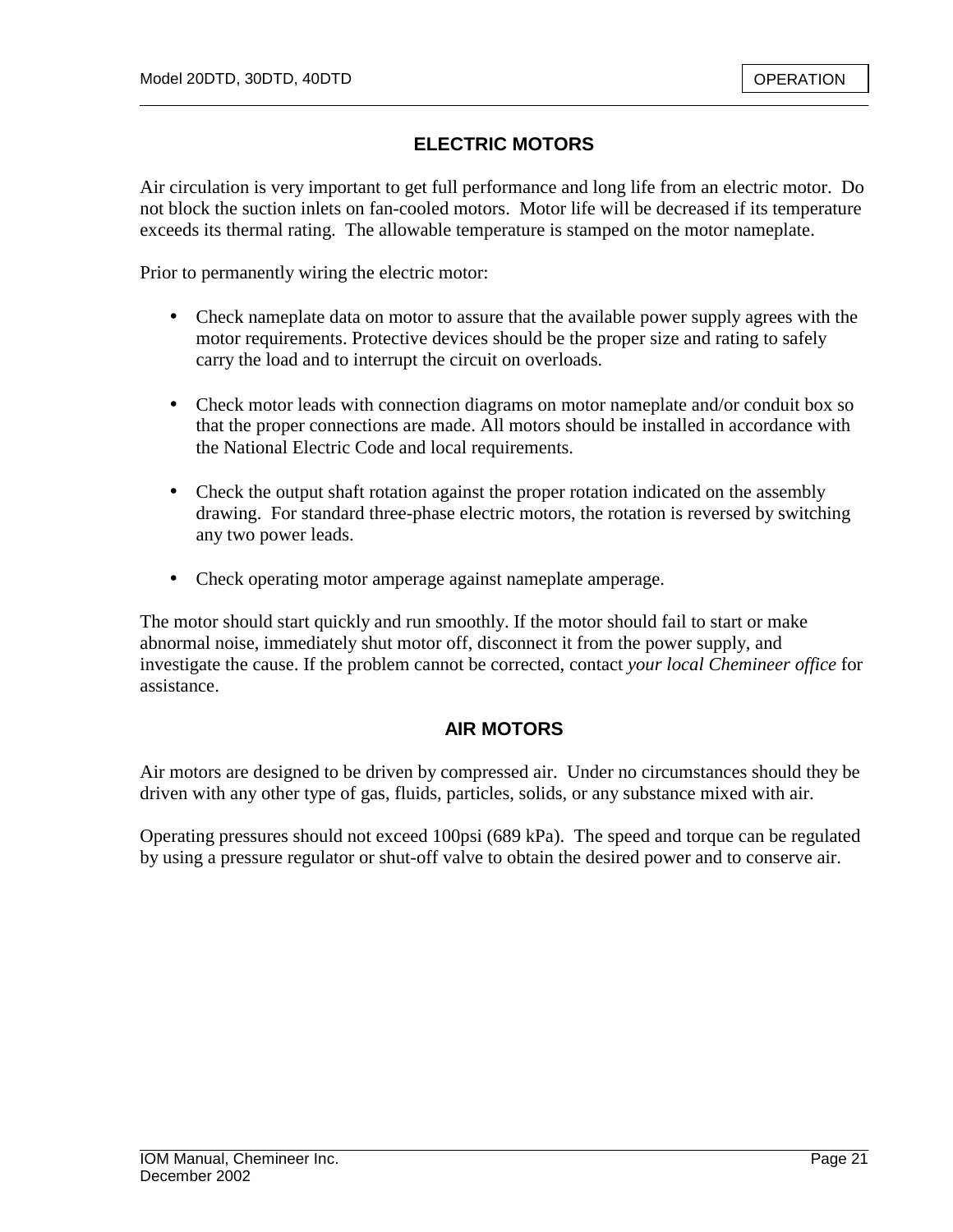## **ELECTRIC MOTORS**

Air circulation is very important to get full performance and long life from an electric motor. Do not block the suction inlets on fan-cooled motors. Motor life will be decreased if its temperature exceeds its thermal rating. The allowable temperature is stamped on the motor nameplate.

Prior to permanently wiring the electric motor:

- Check nameplate data on motor to assure that the available power supply agrees with the motor requirements. Protective devices should be the proper size and rating to safely carry the load and to interrupt the circuit on overloads.
- Check motor leads with connection diagrams on motor nameplate and/or conduit box so that the proper connections are made. All motors should be installed in accordance with the National Electric Code and local requirements.
- Check the output shaft rotation against the proper rotation indicated on the assembly drawing. For standard three-phase electric motors, the rotation is reversed by switching any two power leads.
- Check operating motor amperage against nameplate amperage.

The motor should start quickly and run smoothly. If the motor should fail to start or make abnormal noise, immediately shut motor off, disconnect it from the power supply, and investigate the cause. If the problem cannot be corrected, contact *your local Chemineer office* for assistance.

#### **AIR MOTORS**

Air motors are designed to be driven by compressed air. Under no circumstances should they be driven with any other type of gas, fluids, particles, solids, or any substance mixed with air.

Operating pressures should not exceed 100psi (689 kPa). The speed and torque can be regulated by using a pressure regulator or shut-off valve to obtain the desired power and to conserve air.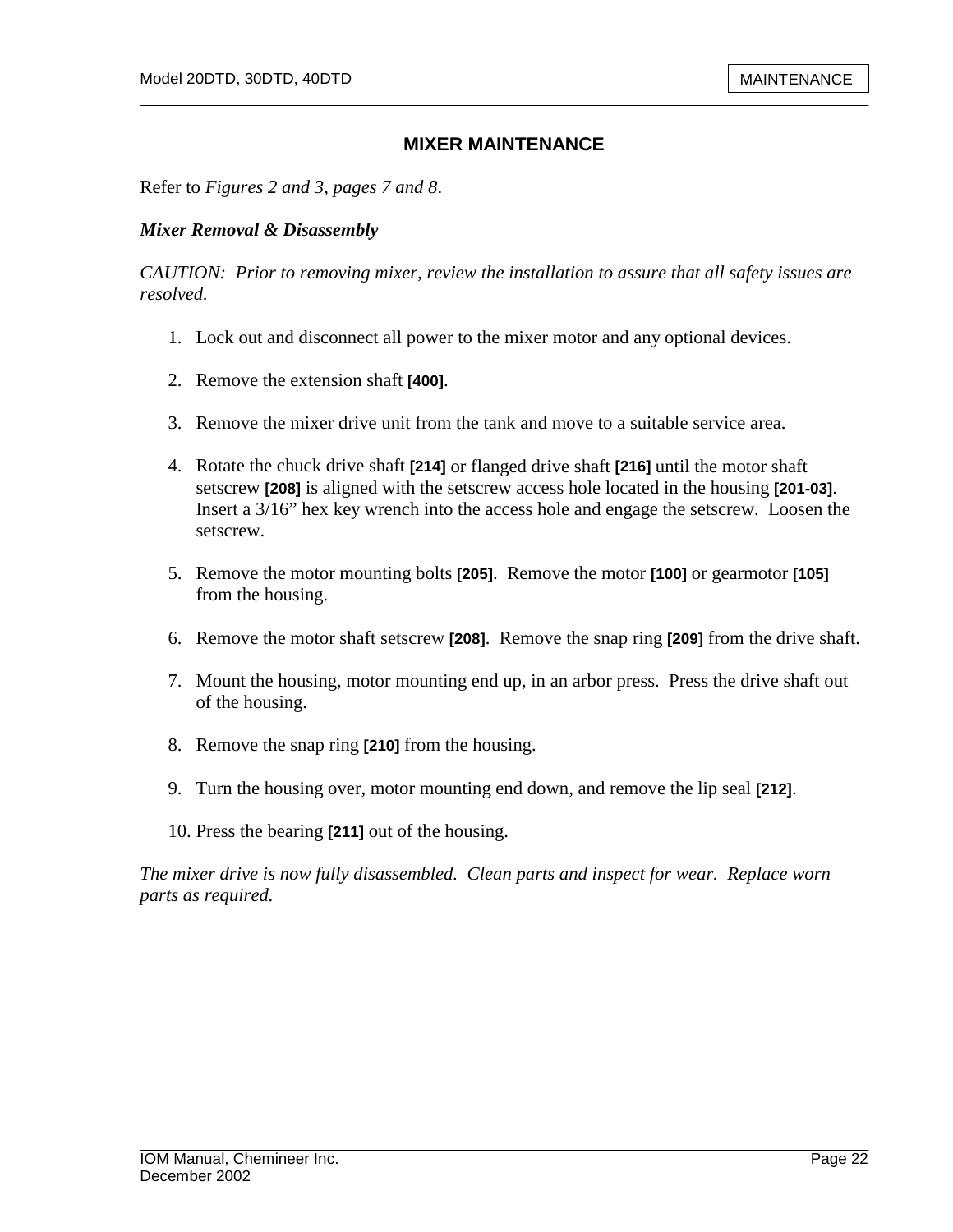#### **MIXER MAINTENANCE**

Refer to *Figures 2 and 3, pages 7 and 8*.

#### *Mixer Removal & Disassembly*

*CAUTION: Prior to removing mixer, review the installation to assure that all safety issues are resolved.* 

- 1. Lock out and disconnect all power to the mixer motor and any optional devices.
- 2. Remove the extension shaft **[400]**.
- 3. Remove the mixer drive unit from the tank and move to a suitable service area.
- 4. Rotate the chuck drive shaft **[214]** or flanged drive shaft **[216]** until the motor shaft setscrew **[208]** is aligned with the setscrew access hole located in the housing **[201-03]**. Insert a 3/16" hex key wrench into the access hole and engage the setscrew. Loosen the setscrew.
- 5. Remove the motor mounting bolts **[205]**. Remove the motor **[100]** or gearmotor **[105]**  from the housing.
- 6. Remove the motor shaft setscrew **[208]**. Remove the snap ring **[209]** from the drive shaft.
- 7. Mount the housing, motor mounting end up, in an arbor press. Press the drive shaft out of the housing.
- 8. Remove the snap ring **[210]** from the housing.
- 9. Turn the housing over, motor mounting end down, and remove the lip seal **[212]**.
- 10. Press the bearing **[211]** out of the housing.

*The mixer drive is now fully disassembled. Clean parts and inspect for wear. Replace worn parts as required.*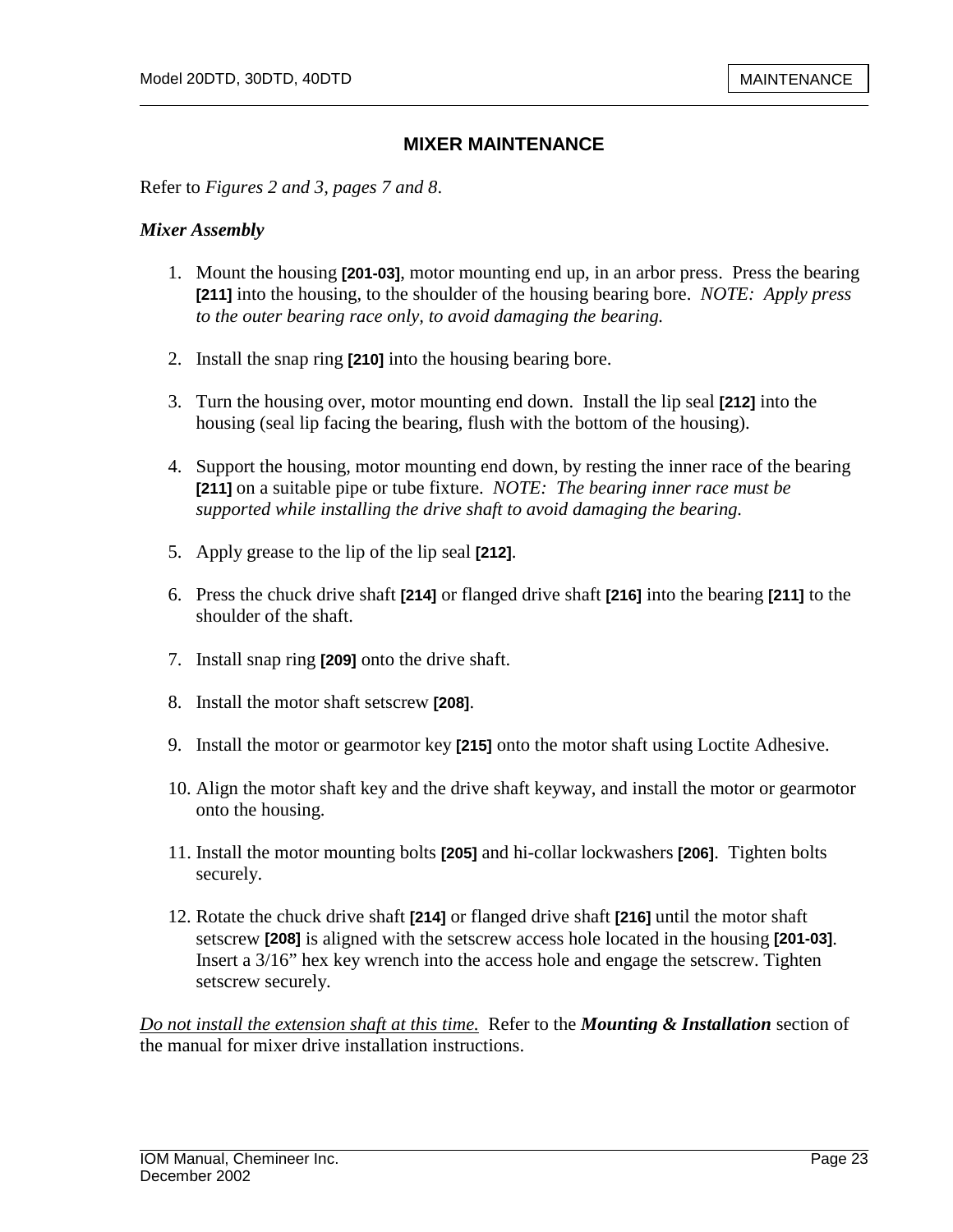#### **MIXER MAINTENANCE**

Refer to *Figures 2 and 3, pages 7 and 8*.

#### *Mixer Assembly*

- 1. Mount the housing **[201-03]**, motor mounting end up, in an arbor press. Press the bearing **[211]** into the housing, to the shoulder of the housing bearing bore. *NOTE: Apply press to the outer bearing race only, to avoid damaging the bearing.*
- 2. Install the snap ring **[210]** into the housing bearing bore.
- 3. Turn the housing over, motor mounting end down. Install the lip seal **[212]** into the housing (seal lip facing the bearing, flush with the bottom of the housing).
- 4. Support the housing, motor mounting end down, by resting the inner race of the bearing **[211]** on a suitable pipe or tube fixture. *NOTE: The bearing inner race must be supported while installing the drive shaft to avoid damaging the bearing.*
- 5. Apply grease to the lip of the lip seal **[212]**.
- 6. Press the chuck drive shaft **[214]** or flanged drive shaft **[216]** into the bearing **[211]** to the shoulder of the shaft.
- 7. Install snap ring **[209]** onto the drive shaft.
- 8. Install the motor shaft setscrew **[208]**.
- 9. Install the motor or gearmotor key **[215]** onto the motor shaft using Loctite Adhesive.
- 10. Align the motor shaft key and the drive shaft keyway, and install the motor or gearmotor onto the housing.
- 11. Install the motor mounting bolts **[205]** and hi-collar lockwashers **[206]**. Tighten bolts securely.
- 12. Rotate the chuck drive shaft **[214]** or flanged drive shaft **[216]** until the motor shaft setscrew **[208]** is aligned with the setscrew access hole located in the housing **[201-03]**. Insert a 3/16" hex key wrench into the access hole and engage the setscrew. Tighten setscrew securely.

*Do not install the extension shaft at this time.* Refer to the *Mounting & Installation* section of the manual for mixer drive installation instructions.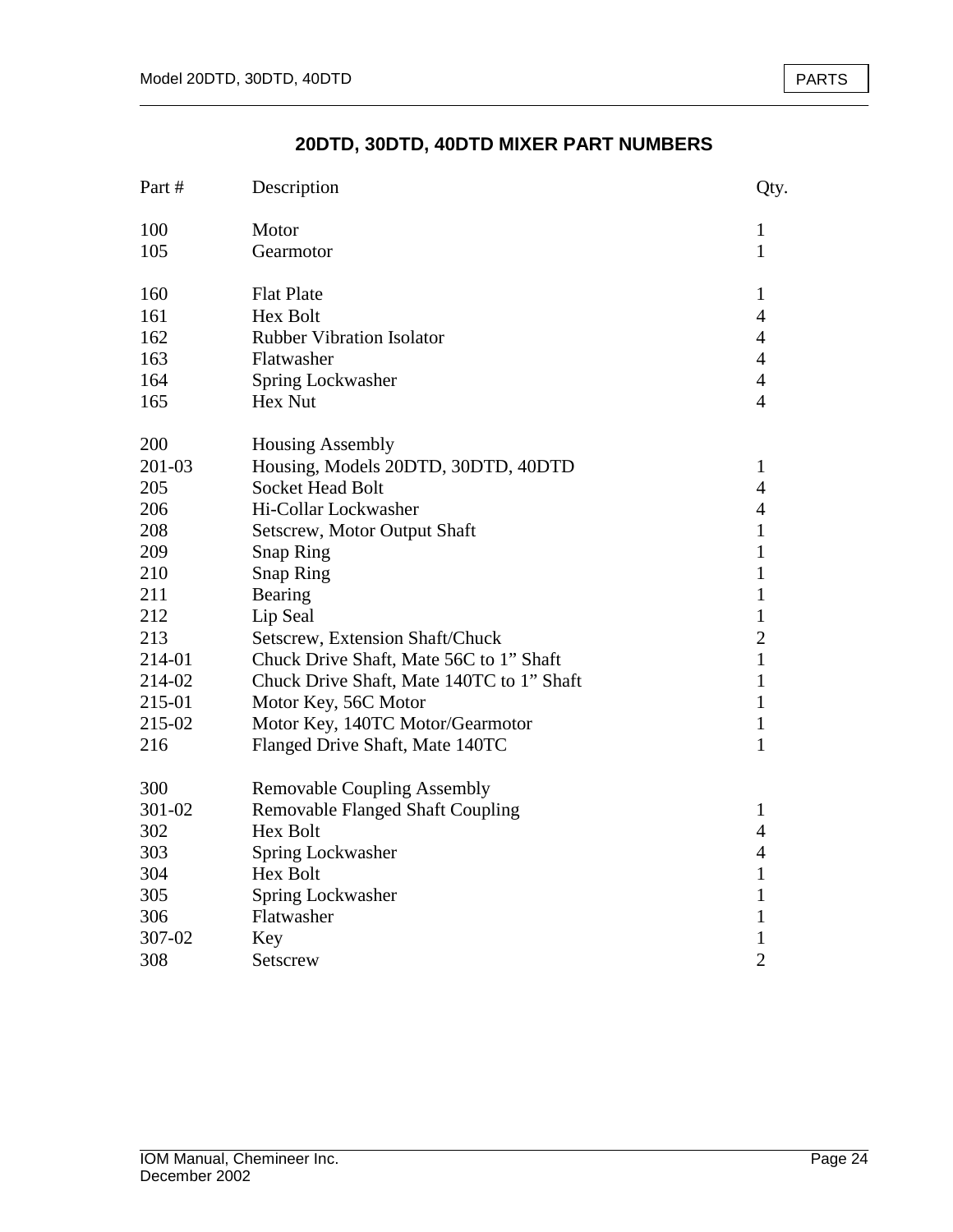## **20DTD, 30DTD, 40DTD MIXER PART NUMBERS**

| Part # | Description                               | Qty.           |
|--------|-------------------------------------------|----------------|
| 100    | Motor                                     | 1              |
| 105    | Gearmotor                                 | $\mathbf{1}$   |
| 160    | <b>Flat Plate</b>                         | $\mathbf{1}$   |
| 161    | <b>Hex Bolt</b>                           | $\overline{4}$ |
| 162    | Rubber Vibration Isolator                 | $\overline{4}$ |
| 163    | Flatwasher                                | $\overline{4}$ |
| 164    | Spring Lockwasher                         | $\overline{4}$ |
| 165    | Hex Nut                                   | $\overline{4}$ |
| 200    | <b>Housing Assembly</b>                   |                |
| 201-03 | Housing, Models 20DTD, 30DTD, 40DTD       | 1              |
| 205    | <b>Socket Head Bolt</b>                   | $\overline{4}$ |
| 206    | Hi-Collar Lockwasher                      | $\overline{4}$ |
| 208    | Setscrew, Motor Output Shaft              | $\mathbf{1}$   |
| 209    | <b>Snap Ring</b>                          | 1              |
| 210    | <b>Snap Ring</b>                          | 1              |
| 211    | Bearing                                   | $\mathbf{1}$   |
| 212    | Lip Seal                                  | $\mathbf{1}$   |
| 213    | Setscrew, Extension Shaft/Chuck           | $\overline{2}$ |
| 214-01 | Chuck Drive Shaft, Mate 56C to 1" Shaft   | $\mathbf{1}$   |
| 214-02 | Chuck Drive Shaft, Mate 140TC to 1" Shaft | 1              |
| 215-01 | Motor Key, 56C Motor                      | 1              |
| 215-02 | Motor Key, 140TC Motor/Gearmotor          | 1              |
| 216    | Flanged Drive Shaft, Mate 140TC           | 1              |
| 300    | <b>Removable Coupling Assembly</b>        |                |
| 301-02 | <b>Removable Flanged Shaft Coupling</b>   | $\mathbf{1}$   |
| 302    | Hex Bolt                                  | 4              |
| 303    | Spring Lockwasher                         | $\overline{4}$ |
| 304    | Hex Bolt                                  | $\mathbf{1}$   |
| 305    | Spring Lockwasher                         | 1              |
| 306    | Flatwasher                                | 1              |
| 307-02 | Key                                       | 1              |
| 308    | Setscrew                                  | $\overline{2}$ |